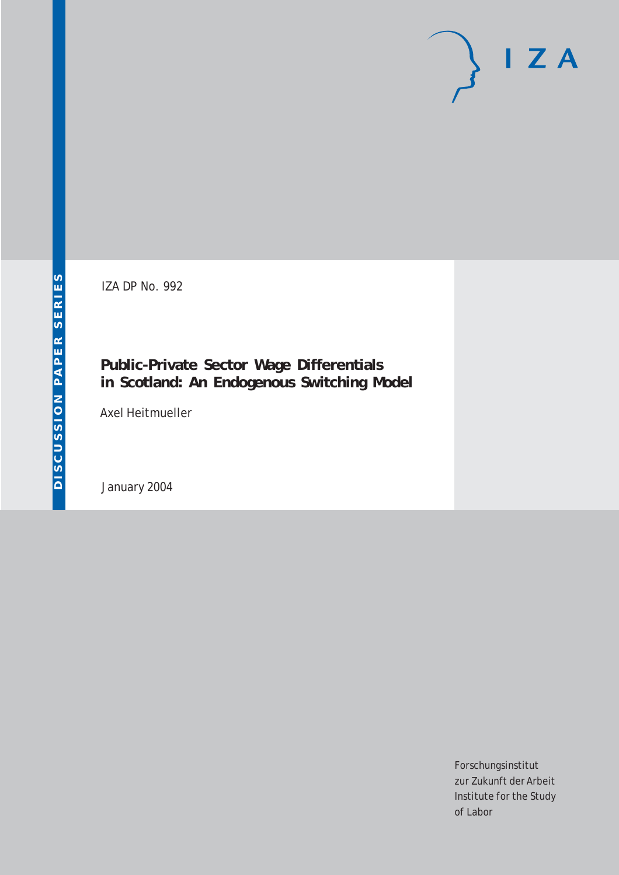# $I Z A$

IZA DP No. 992

## **Public-Private Sector Wage Differentials in Scotland: An Endogenous Switching Model**

Axel Heitmueller

January 2004

Forschungsinstitut zur Zukunft der Arbeit Institute for the Study of Labor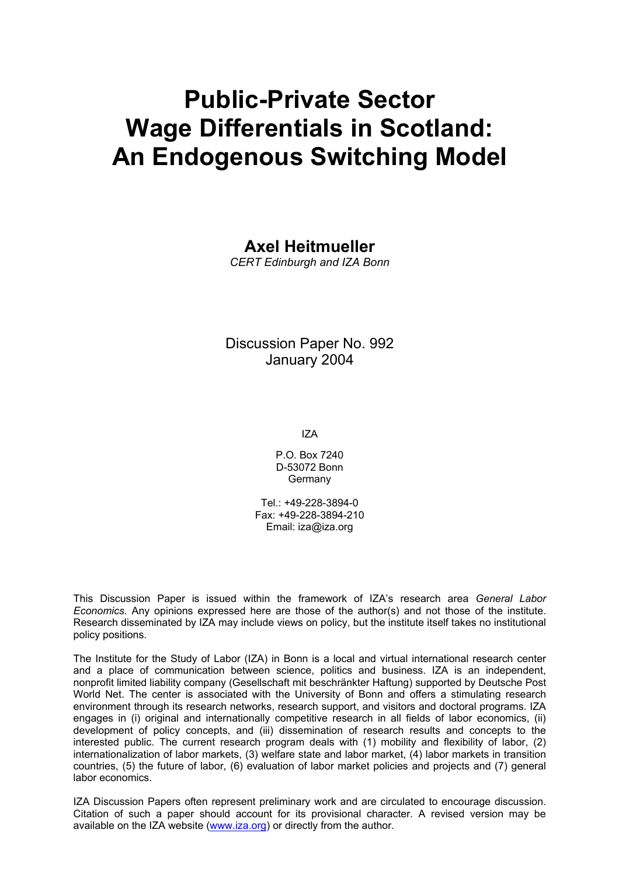# **Public-Private Sector Wage Differentials in Scotland: An Endogenous Switching Model**

### **Axel Heitmueller**

*CERT Edinburgh and IZA Bonn* 

Discussion Paper No. 992 January 2004

IZA

P.O. Box 7240 D-53072 Bonn Germany

 $Tel + 49-228-3894-0$ Fax: +49-228-3894-210 Email: [iza@iza.org](mailto:iza@iza.org)

This Discussion Paper is issued within the framework of IZA's research area *General Labor Economics.* Any opinions expressed here are those of the author(s) and not those of the institute. Research disseminated by IZA may include views on policy, but the institute itself takes no institutional policy positions.

The Institute for the Study of Labor (IZA) in Bonn is a local and virtual international research center and a place of communication between science, politics and business. IZA is an independent, nonprofit limited liability company (Gesellschaft mit beschränkter Haftung) supported by Deutsche Post World Net. The center is associated with the University of Bonn and offers a stimulating research environment through its research networks, research support, and visitors and doctoral programs. IZA engages in (i) original and internationally competitive research in all fields of labor economics, (ii) development of policy concepts, and (iii) dissemination of research results and concepts to the interested public. The current research program deals with (1) mobility and flexibility of labor, (2) internationalization of labor markets, (3) welfare state and labor market, (4) labor markets in transition countries, (5) the future of labor, (6) evaluation of labor market policies and projects and (7) general labor economics.

IZA Discussion Papers often represent preliminary work and are circulated to encourage discussion. Citation of such a paper should account for its provisional character. A revised version may be available on the IZA website ([www.iza.org](http://www.iza.org/)) or directly from the author.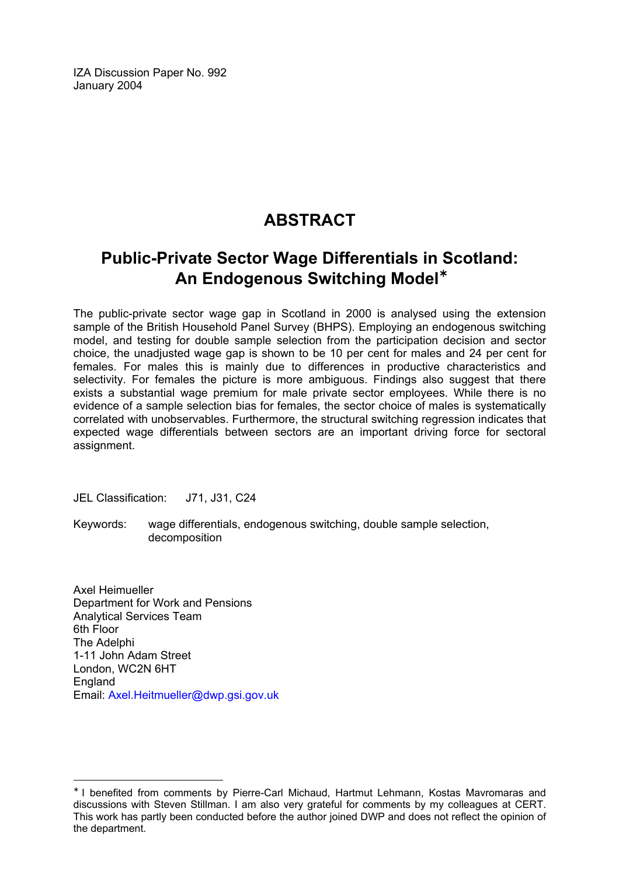IZA Discussion Paper No. 992 January 2004

## **ABSTRACT**

## **Public-Private Sector Wage Differentials in Scotland: An Endogenous Switching Model**[∗](#page-2-0)

The public-private sector wage gap in Scotland in 2000 is analysed using the extension sample of the British Household Panel Survey (BHPS). Employing an endogenous switching model, and testing for double sample selection from the participation decision and sector choice, the unadjusted wage gap is shown to be 10 per cent for males and 24 per cent for females. For males this is mainly due to differences in productive characteristics and selectivity. For females the picture is more ambiguous. Findings also suggest that there exists a substantial wage premium for male private sector employees. While there is no evidence of a sample selection bias for females, the sector choice of males is systematically correlated with unobservables. Furthermore, the structural switching regression indicates that expected wage differentials between sectors are an important driving force for sectoral assignment.

JEL Classification: J71, J31, C24

Keywords: wage differentials, endogenous switching, double sample selection, decomposition

Axel Heimueller Department for Work and Pensions Analytical Services Team 6th Floor The Adelphi 1-11 John Adam Street London, WC2N 6HT **England** Email: [Axel.Heitmueller@dwp.gsi.gov.uk](mailto:Axel.Heitmueller@dwp.gsi.gov.uk)

 $\overline{a}$ 

<span id="page-2-0"></span><sup>∗</sup> I benefited from comments by Pierre-Carl Michaud, Hartmut Lehmann, Kostas Mavromaras and discussions with Steven Stillman. I am also very grateful for comments by my colleagues at CERT. This work has partly been conducted before the author joined DWP and does not reflect the opinion of the department.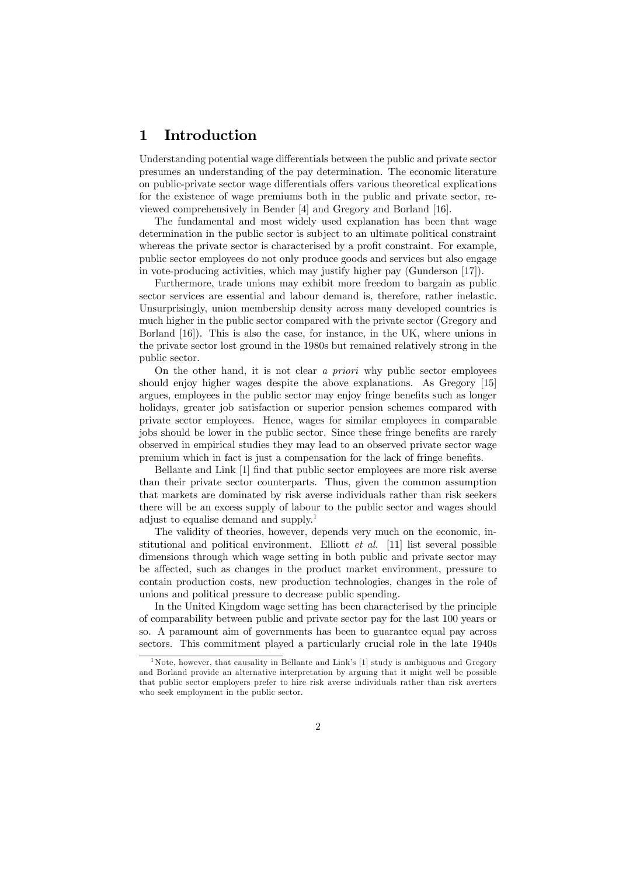#### 1 Introduction

Understanding potential wage differentials between the public and private sector presumes an understanding of the pay determination. The economic literature on public-private sector wage differentials offers various theoretical explications for the existence of wage premiums both in the public and private sector, reviewed comprehensively in Bender [4] and Gregory and Borland [16].

The fundamental and most widely used explanation has been that wage determination in the public sector is subject to an ultimate political constraint whereas the private sector is characterised by a profit constraint. For example, public sector employees do not only produce goods and services but also engage in vote-producing activities, which may justify higher pay (Gunderson [17]).

Furthermore, trade unions may exhibit more freedom to bargain as public sector services are essential and labour demand is, therefore, rather inelastic. Unsurprisingly, union membership density across many developed countries is much higher in the public sector compared with the private sector (Gregory and Borland [16]). This is also the case, for instance, in the UK, where unions in the private sector lost ground in the 1980s but remained relatively strong in the public sector.

On the other hand, it is not clear a priori why public sector employees should enjoy higher wages despite the above explanations. As Gregory [15] argues, employees in the public sector may enjoy fringe benefits such as longer holidays, greater job satisfaction or superior pension schemes compared with private sector employees. Hence, wages for similar employees in comparable jobs should be lower in the public sector. Since these fringe benefits are rarely observed in empirical studies they may lead to an observed private sector wage premium which in fact is just a compensation for the lack of fringe benefits.

Bellante and Link [1] find that public sector employees are more risk averse than their private sector counterparts. Thus, given the common assumption that markets are dominated by risk averse individuals rather than risk seekers there will be an excess supply of labour to the public sector and wages should adjust to equalise demand and supply.1

The validity of theories, however, depends very much on the economic, institutional and political environment. Elliott  $et \ al.$  [11] list several possible dimensions through which wage setting in both public and private sector may be affected, such as changes in the product market environment, pressure to contain production costs, new production technologies, changes in the role of unions and political pressure to decrease public spending.

In the United Kingdom wage setting has been characterised by the principle of comparability between public and private sector pay for the last 100 years or so. A paramount aim of governments has been to guarantee equal pay across sectors. This commitment played a particularly crucial role in the late 1940s

<sup>&</sup>lt;sup>1</sup> Note, however, that causality in Bellante and Link's  $[1]$  study is ambiguous and Gregory and Borland provide an alternative interpretation by arguing that it might well be possible that public sector employers prefer to hire risk averse individuals rather than risk averters who seek employment in the public sector.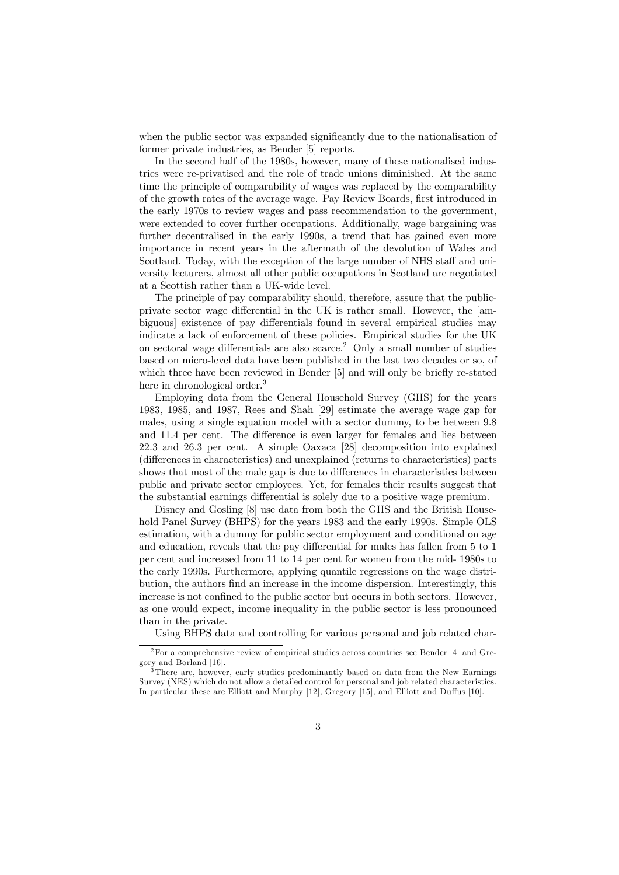when the public sector was expanded significantly due to the nationalisation of former private industries, as Bender [5] reports.

In the second half of the 1980s, however, many of these nationalised industries were re-privatised and the role of trade unions diminished. At the same time the principle of comparability of wages was replaced by the comparability of the growth rates of the average wage. Pay Review Boards, first introduced in the early 1970s to review wages and pass recommendation to the government, were extended to cover further occupations. Additionally, wage bargaining was further decentralised in the early 1990s, a trend that has gained even more importance in recent years in the aftermath of the devolution of Wales and Scotland. Today, with the exception of the large number of NHS staff and university lecturers, almost all other public occupations in Scotland are negotiated at a Scottish rather than a UK-wide level.

The principle of pay comparability should, therefore, assure that the publicprivate sector wage differential in the UK is rather small. However, the [ambiguous] existence of pay differentials found in several empirical studies may indicate a lack of enforcement of these policies. Empirical studies for the UK on sectoral wage differentials are also scarce.2 Only a small number of studies based on micro-level data have been published in the last two decades or so, of which three have been reviewed in Bender [5] and will only be briefly re-stated here in chronological order.<sup>3</sup>

Employing data from the General Household Survey (GHS) for the years 1983, 1985, and 1987, Rees and Shah [29] estimate the average wage gap for males, using a single equation model with a sector dummy, to be between 9.8 and 11.4 per cent. The difference is even larger for females and lies between 22.3 and 26.3 per cent. A simple Oaxaca [28] decomposition into explained (differences in characteristics) and unexplained (returns to characteristics) parts shows that most of the male gap is due to differences in characteristics between public and private sector employees. Yet, for females their results suggest that the substantial earnings differential is solely due to a positive wage premium.

Disney and Gosling [8] use data from both the GHS and the British Household Panel Survey (BHPS) for the years 1983 and the early 1990s. Simple OLS estimation, with a dummy for public sector employment and conditional on age and education, reveals that the pay differential for males has fallen from 5 to 1 per cent and increased from 11 to 14 per cent for women from the mid- 1980s to the early 1990s. Furthermore, applying quantile regressions on the wage distribution, the authors find an increase in the income dispersion. Interestingly, this increase is not confined to the public sector but occurs in both sectors. However, as one would expect, income inequality in the public sector is less pronounced than in the private.

Using BHPS data and controlling for various personal and job related char-

 $2$ For a comprehensive review of empirical studies across countries see Bender [4] and Gregory and Borland [16].

There are, however, early studies predominantly based on data from the New Earnings Survey (NES) which do not allow a detailed control for personal and job related characteristics. In particular these are Elliott and Murphy [12], Gregory [15], and Elliott and Duffus [10].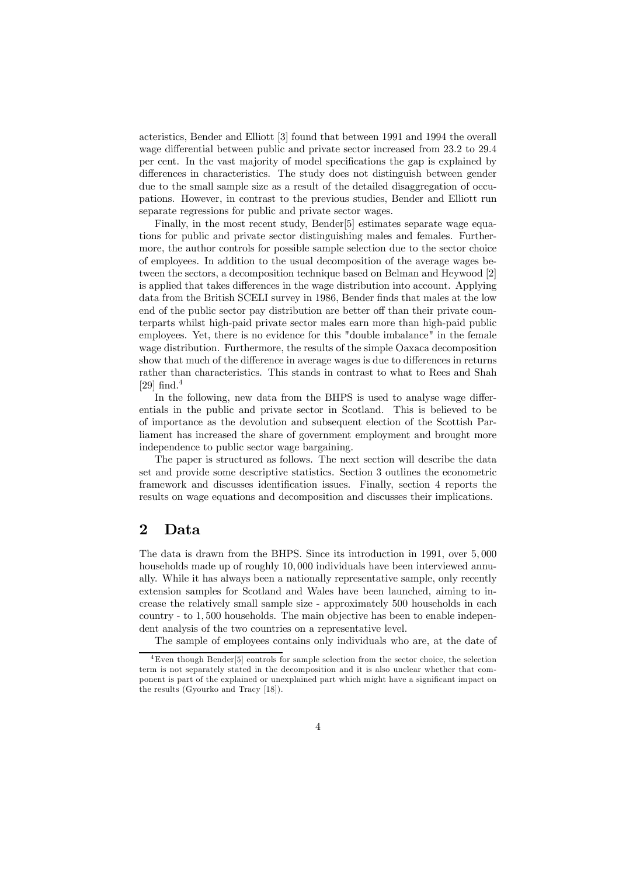acteristics, Bender and Elliott [3] found that between 1991 and 1994 the overall wage differential between public and private sector increased from 23.2 to 29.4 per cent. In the vast majority of model specifications the gap is explained by differences in characteristics. The study does not distinguish between gender due to the small sample size as a result of the detailed disaggregation of occupations. However, in contrast to the previous studies, Bender and Elliott run separate regressions for public and private sector wages.

Finally, in the most recent study, Bender<sup>[5]</sup> estimates separate wage equations for public and private sector distinguishing males and females. Furthermore, the author controls for possible sample selection due to the sector choice of employees. In addition to the usual decomposition of the average wages between the sectors, a decomposition technique based on Belman and Heywood [2] is applied that takes differences in the wage distribution into account. Applying data from the British SCELI survey in 1986, Bender finds that males at the low end of the public sector pay distribution are better off than their private counterparts whilst high-paid private sector males earn more than high-paid public employees. Yet, there is no evidence for this "double imbalance" in the female wage distribution. Furthermore, the results of the simple Oaxaca decomposition show that much of the difference in average wages is due to differences in returns rather than characteristics. This stands in contrast to what to Rees and Shah [29]  $find.<sup>4</sup>$ 

In the following, new data from the BHPS is used to analyse wage differentials in the public and private sector in Scotland. This is believed to be of importance as the devolution and subsequent election of the Scottish Parliament has increased the share of government employment and brought more independence to public sector wage bargaining.

The paper is structured as follows. The next section will describe the data set and provide some descriptive statistics. Section 3 outlines the econometric framework and discusses identification issues. Finally, section 4 reports the results on wage equations and decomposition and discusses their implications.

#### 2 Data

The data is drawn from the BHPS. Since its introduction in 1991, over 5, 000 households made up of roughly 10, 000 individuals have been interviewed annually. While it has always been a nationally representative sample, only recently extension samples for Scotland and Wales have been launched, aiming to increase the relatively small sample size - approximately 500 households in each country - to 1, 500 households. The main objective has been to enable independent analysis of the two countries on a representative level.

The sample of employees contains only individuals who are, at the date of

<sup>4</sup>Even though Bender[5] controls for sample selection from the sector choice, the selection term is not separately stated in the decomposition and it is also unclear whether that component is part of the explained or unexplained part which might have a significant impact on the results (Gyourko and Tracy [18]).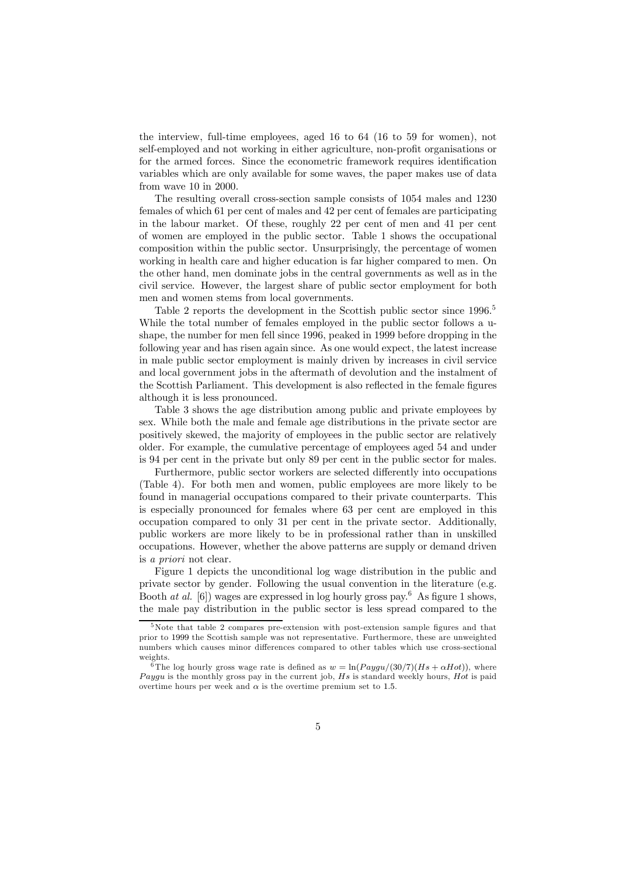the interview, full-time employees, aged 16 to 64 (16 to 59 for women), not self-employed and not working in either agriculture, non-profit organisations or for the armed forces. Since the econometric framework requires identification variables which are only available for some waves, the paper makes use of data from wave 10 in 2000.

The resulting overall cross-section sample consists of 1054 males and 1230 females of which 61 per cent of males and 42 per cent of females are participating in the labour market. Of these, roughly 22 per cent of men and 41 per cent of women are employed in the public sector. Table 1 shows the occupational composition within the public sector. Unsurprisingly, the percentage of women working in health care and higher education is far higher compared to men. On the other hand, men dominate jobs in the central governments as well as in the civil service. However, the largest share of public sector employment for both men and women stems from local governments.

Table 2 reports the development in the Scottish public sector since 1996.<sup>5</sup> While the total number of females employed in the public sector follows a ushape, the number for men fell since 1996, peaked in 1999 before dropping in the following year and has risen again since. As one would expect, the latest increase in male public sector employment is mainly driven by increases in civil service and local government jobs in the aftermath of devolution and the instalment of the Scottish Parliament. This development is also reflected in the female figures although it is less pronounced.

Table 3 shows the age distribution among public and private employees by sex. While both the male and female age distributions in the private sector are positively skewed, the majority of employees in the public sector are relatively older. For example, the cumulative percentage of employees aged 54 and under is 94 per cent in the private but only 89 per cent in the public sector for males.

Furthermore, public sector workers are selected differently into occupations (Table 4). For both men and women, public employees are more likely to be found in managerial occupations compared to their private counterparts. This is especially pronounced for females where 63 per cent are employed in this occupation compared to only 31 per cent in the private sector. Additionally, public workers are more likely to be in professional rather than in unskilled occupations. However, whether the above patterns are supply or demand driven is a priori not clear.

Figure 1 depicts the unconditional log wage distribution in the public and private sector by gender. Following the usual convention in the literature (e.g. Booth at al.  $[6]$ ) wages are expressed in log hourly gross pay.<sup>6</sup> As figure 1 shows, the male pay distribution in the public sector is less spread compared to the

<sup>5</sup>Note that table 2 compares pre-extension with post-extension sample figures and that prior to 1999 the Scottish sample was not representative. Furthermore, these are unweighted numbers which causes minor differences compared to other tables which use cross-sectional weights.

<sup>&</sup>lt;sup>6</sup>The log hourly gross wage rate is defined as  $w = \ln(Paygu/(30/7)(Hs + \alpha Hot))$ , where *Paygu* is the monthly gross pay in the current job,  $Hs$  is standard weekly hours,  $Hot$  is paid overtime hours per week and  $\alpha$  is the overtime premium set to 1.5.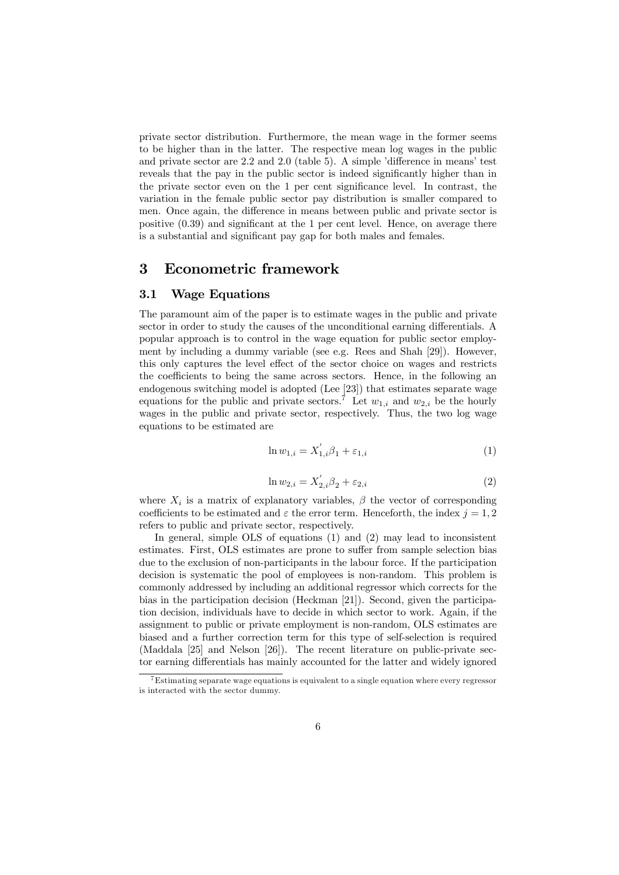private sector distribution. Furthermore, the mean wage in the former seems to be higher than in the latter. The respective mean log wages in the public and private sector are 2.2 and 2.0 (table 5). A simple 'difference in means' test reveals that the pay in the public sector is indeed significantly higher than in the private sector even on the 1 per cent significance level. In contrast, the variation in the female public sector pay distribution is smaller compared to men. Once again, the difference in means between public and private sector is positive (0.39) and significant at the 1 per cent level. Hence, on average there is a substantial and significant pay gap for both males and females.

#### 3 Econometric framework

#### 3.1 Wage Equations

The paramount aim of the paper is to estimate wages in the public and private sector in order to study the causes of the unconditional earning differentials. A popular approach is to control in the wage equation for public sector employment by including a dummy variable (see e.g. Rees and Shah [29]). However, this only captures the level effect of the sector choice on wages and restricts the coefficients to being the same across sectors. Hence, in the following an endogenous switching model is adopted (Lee [23]) that estimates separate wage equations for the public and private sectors.<sup>7</sup> Let  $w_{1,i}$  and  $w_{2,i}$  be the hourly wages in the public and private sector, respectively. Thus, the two log wage equations to be estimated are

$$
\ln w_{1,i} = X'_{1,i} \beta_1 + \varepsilon_{1,i} \tag{1}
$$

$$
\ln w_{2,i} = X'_{2,i} \beta_2 + \varepsilon_{2,i}
$$
 (2)

where  $X_i$  is a matrix of explanatory variables,  $\beta$  the vector of corresponding coefficients to be estimated and  $\varepsilon$  the error term. Henceforth, the index  $j = 1, 2$ refers to public and private sector, respectively.

In general, simple OLS of equations (1) and (2) may lead to inconsistent estimates. First, OLS estimates are prone to suffer from sample selection bias due to the exclusion of non-participants in the labour force. If the participation decision is systematic the pool of employees is non-random. This problem is commonly addressed by including an additional regressor which corrects for the bias in the participation decision (Heckman [21]). Second, given the participation decision, individuals have to decide in which sector to work. Again, if the assignment to public or private employment is non-random, OLS estimates are biased and a further correction term for this type of self-selection is required (Maddala [25] and Nelson [26]). The recent literature on public-private sector earning differentials has mainly accounted for the latter and widely ignored

<sup>7</sup>Estimating separate wage equations is equivalent to a single equation where every regressor is interacted with the sector dummy.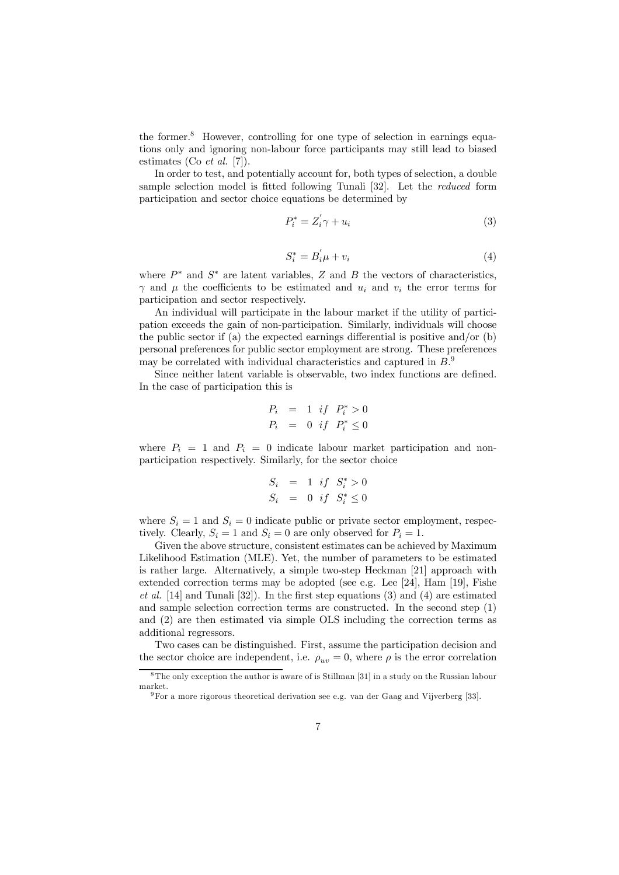the former.8 However, controlling for one type of selection in earnings equations only and ignoring non-labour force participants may still lead to biased estimates (Co *et al.* [7]).

In order to test, and potentially account for, both types of selection, a double sample selection model is fitted following Tunali [32]. Let the reduced form participation and sector choice equations be determined by

$$
P_i^* = Z_i' \gamma + u_i \tag{3}
$$

$$
S_i^* = B_i' \mu + v_i \tag{4}
$$

where  $P^*$  and  $S^*$  are latent variables, Z and B the vectors of characteristics,  $γ$  and  $μ$  the coefficients to be estimated and  $u_i$  and  $v_i$  the error terms for participation and sector respectively.

An individual will participate in the labour market if the utility of participation exceeds the gain of non-participation. Similarly, individuals will choose the public sector if (a) the expected earnings differential is positive and/or (b) personal preferences for public sector employment are strong. These preferences may be correlated with individual characteristics and captured in  $B$ <sup>9</sup>.

Since neither latent variable is observable, two index functions are defined. In the case of participation this is

$$
P_i = 1 \text{ if } P_i^* > 0
$$
  

$$
P_i = 0 \text{ if } P_i^* \le 0
$$

where  $P_i = 1$  and  $P_i = 0$  indicate labour market participation and nonparticipation respectively. Similarly, for the sector choice

$$
S_i = 1 \text{ if } S_i^* > 0
$$
  

$$
S_i = 0 \text{ if } S_i^* \le 0
$$

where  $S_i = 1$  and  $S_i = 0$  indicate public or private sector employment, respectively. Clearly,  $S_i = 1$  and  $S_i = 0$  are only observed for  $P_i = 1$ .

Given the above structure, consistent estimates can be achieved by Maximum Likelihood Estimation (MLE). Yet, the number of parameters to be estimated is rather large. Alternatively, a simple two-step Heckman [21] approach with extended correction terms may be adopted (see e.g. Lee [24], Ham [19], Fishe et al. [14] and Tunali [32]). In the first step equations (3) and (4) are estimated and sample selection correction terms are constructed. In the second step (1) and (2) are then estimated via simple OLS including the correction terms as additional regressors.

Two cases can be distinguished. First, assume the participation decision and the sector choice are independent, i.e.  $\rho_{uv} = 0$ , where  $\rho$  is the error correlation

<sup>&</sup>lt;sup>8</sup>The only exception the author is aware of is Stillman [31] in a study on the Russian labour market.

<sup>9</sup>For a more rigorous theoretical derivation see e.g. van der Gaag and Vijverberg [33].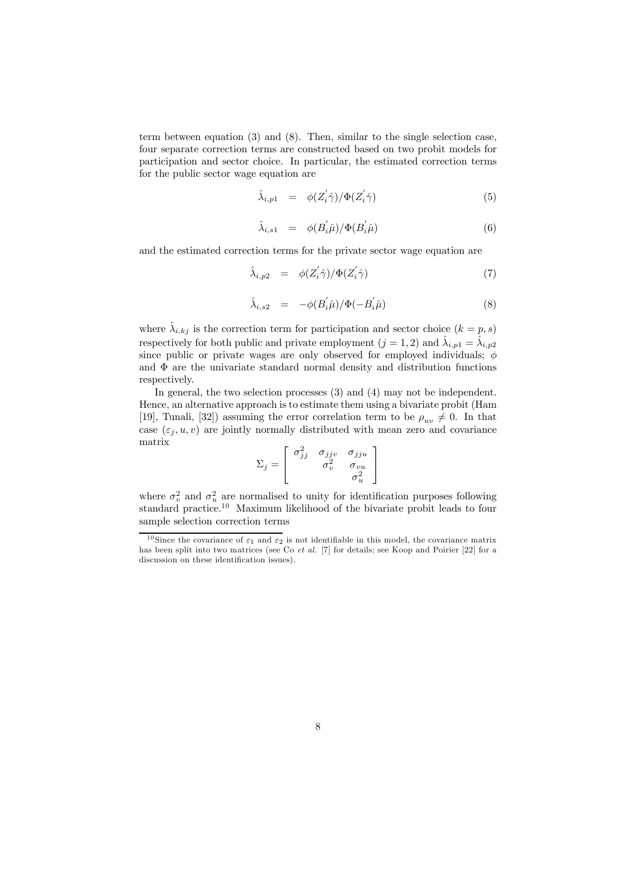term between equation (3) and (8). Then, similar to the single selection case, four separate correction terms are constructed based on two probit models for participation and sector choice. In particular, the estimated correction terms for the public sector wage equation are

$$
\hat{\lambda}_{i,p1} = \phi(Z_i' \hat{\gamma}) / \Phi(Z_i' \hat{\gamma}) \tag{5}
$$

$$
\hat{\lambda}_{i,s1} = \phi(B_i' \hat{\mu}) / \Phi(B_i' \hat{\mu}) \tag{6}
$$

and the estimated correction terms for the private sector wage equation are

$$
\hat{\lambda}_{i,p2} = \phi(Z_i' \hat{\gamma}) / \Phi(Z_i' \hat{\gamma}) \tag{7}
$$

$$
\hat{\lambda}_{i,s2} = -\phi(B_i^{'}\hat{\mu})/\Phi(-B_i^{'}\hat{\mu})
$$
\n(8)

where  $\hat{\lambda}_{i,kj}$  is the correction term for participation and sector choice  $(k = p, s)$ respectively for both public and private employment  $(j = 1, 2)$  and  $\hat{\lambda}_{i,p1} = \hat{\lambda}_{i,p2}$ since public or private wages are only observed for employed individuals;  $\phi$ and  $\Phi$  are the univariate standard normal density and distribution functions respectively.

In general, the two selection processes (3) and (4) may not be independent. Hence, an alternative approach is to estimate them using a bivariate probit (Ham [19], Tunali, [32]) assuming the error correlation term to be  $\rho_{uv} \neq 0$ . In that case  $(\varepsilon_j, u, v)$  are jointly normally distributed with mean zero and covariance matrix

$$
\Sigma_j = \left[ \begin{array}{ccc} \sigma_{jj}^2 & \sigma_{jju} & \sigma_{jju} \\ \sigma_v^2 & \sigma_{vu} \\ \sigma_u^2 & \sigma_u^2 \end{array} \right]
$$

where  $\sigma_v^2$  and  $\sigma_u^2$  are normalised to unity for identification purposes following standard practice.<sup>10</sup> Maximum likelihood of the bivariate probit leads to four sample selection correction terms

<sup>&</sup>lt;sup>10</sup> Since the covariance of  $\varepsilon_1$  and  $\varepsilon_2$  is not identifiable in this model, the covariance matrix has been split into two matrices (see Co et al. [7] for details; see Koop and Poirier [22] for a discussion on these identification issues).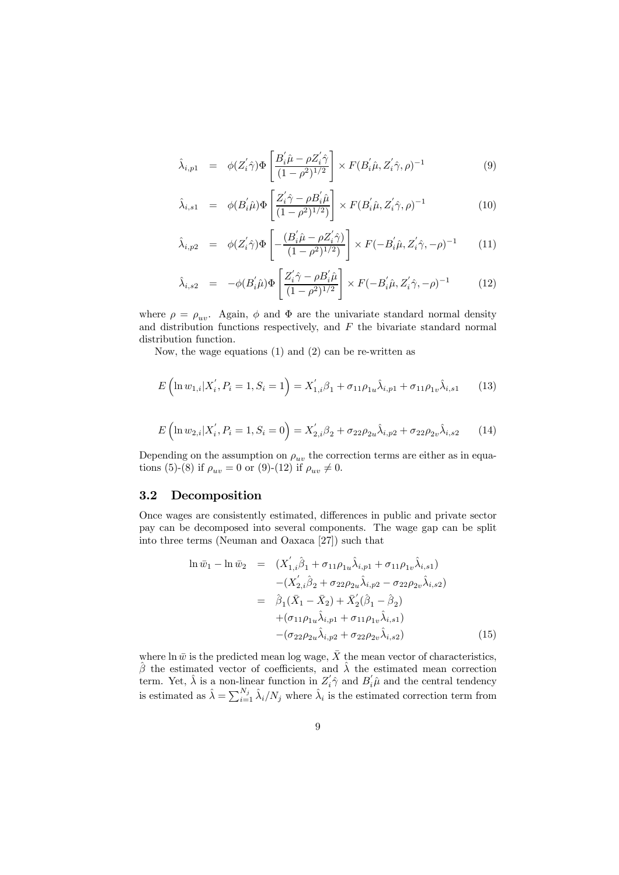$$
\hat{\lambda}_{i,p1} = \phi(Z'_i \hat{\gamma}) \Phi\left[\frac{B'_i \hat{\mu} - \rho Z'_i \hat{\gamma}}{(1 - \rho^2)^{1/2}}\right] \times F(B'_i \hat{\mu}, Z'_i \hat{\gamma}, \rho)^{-1}
$$
\n(9)

$$
\hat{\lambda}_{i,s1} = \phi(B_i' \hat{\mu}) \Phi\left[\frac{Z_i' \hat{\gamma} - \rho B_i' \hat{\mu}}{(1 - \rho^2)^{1/2}}\right] \times F(B_i' \hat{\mu}, Z_i' \hat{\gamma}, \rho)^{-1}
$$
\n(10)

$$
\hat{\lambda}_{i,p2} = \phi(Z_i' \hat{\gamma}) \Phi \left[ -\frac{(B_i' \hat{\mu} - \rho Z_i' \hat{\gamma})}{(1 - \rho^2)^{1/2}} \right] \times F(-B_i' \hat{\mu}, Z_i' \hat{\gamma}, -\rho)^{-1}
$$
(11)

$$
\hat{\lambda}_{i,s2} = -\phi(B_i \hat{\mu}) \Phi\left[\frac{Z_i' \hat{\gamma} - \rho B_i' \hat{\mu}}{(1 - \rho^2)^{1/2}}\right] \times F(-B_i' \hat{\mu}, Z_i' \hat{\gamma}, -\rho)^{-1}
$$
(12)

where  $\rho = \rho_{uv}$ . Again,  $\phi$  and  $\Phi$  are the univariate standard normal density and distribution functions respectively, and  $F$  the bivariate standard normal distribution function.

Now, the wage equations (1) and (2) can be re-written as

$$
E\left(\ln w_{1,i}|X_i', P_i=1, S_i=1\right) = X_{1,i}'\beta_1 + \sigma_{11}\rho_{1u}\hat{\lambda}_{i,p1} + \sigma_{11}\rho_{1v}\hat{\lambda}_{i,s1}
$$
(13)

$$
E\left(\ln w_{2,i}|X'_i, P_i=1, S_i=0\right) = X'_{2,i}\beta_2 + \sigma_{22}\rho_{2u}\hat{\lambda}_{i,p2} + \sigma_{22}\rho_{2v}\hat{\lambda}_{i,s2}
$$
(14)

Depending on the assumption on  $\rho_{uv}$  the correction terms are either as in equations (5)-(8) if  $\rho_{uv} = 0$  or (9)-(12) if  $\rho_{uv} \neq 0$ .

#### 3.2 Decomposition

Once wages are consistently estimated, differences in public and private sector pay can be decomposed into several components. The wage gap can be split into three terms (Neuman and Oaxaca [27]) such that

$$
\ln \bar{w}_1 - \ln \bar{w}_2 = (X'_{1,i}\hat{\beta}_1 + \sigma_{11}\rho_{1u}\hat{\lambda}_{i,p1} + \sigma_{11}\rho_{1v}\hat{\lambda}_{i,s1}) - (X'_{2,i}\hat{\beta}_2 + \sigma_{22}\rho_{2u}\hat{\lambda}_{i,p2} - \sigma_{22}\rho_{2v}\hat{\lambda}_{i,s2}) = \hat{\beta}_1(\bar{X}_1 - \bar{X}_2) + \bar{X}'_2(\hat{\beta}_1 - \hat{\beta}_2) + (\sigma_{11}\rho_{1u}\hat{\lambda}_{i,p1} + \sigma_{11}\rho_{1v}\hat{\lambda}_{i,s1}) - (\sigma_{22}\rho_{2u}\hat{\lambda}_{i,p2} + \sigma_{22}\rho_{2v}\hat{\lambda}_{i,s2})
$$
(15)

where  $\ln \bar{w}$  is the predicted mean log wage,  $\bar{X}$  the mean vector of characteristics,  $\hat{\beta}$  the estimated vector of coefficients, and  $\hat{\lambda}$  the estimated mean correction term. Yet,  $\hat{\lambda}$  is a non-linear function in  $Z_i' \hat{\gamma}$  and  $B_i' \hat{\mu}$  and the central tendency is estimated as  $\hat{\lambda} = \sum_{i=1}^{N_j} \hat{\lambda}_i/N_j$  where  $\hat{\lambda}_i$  is the estimated correction term from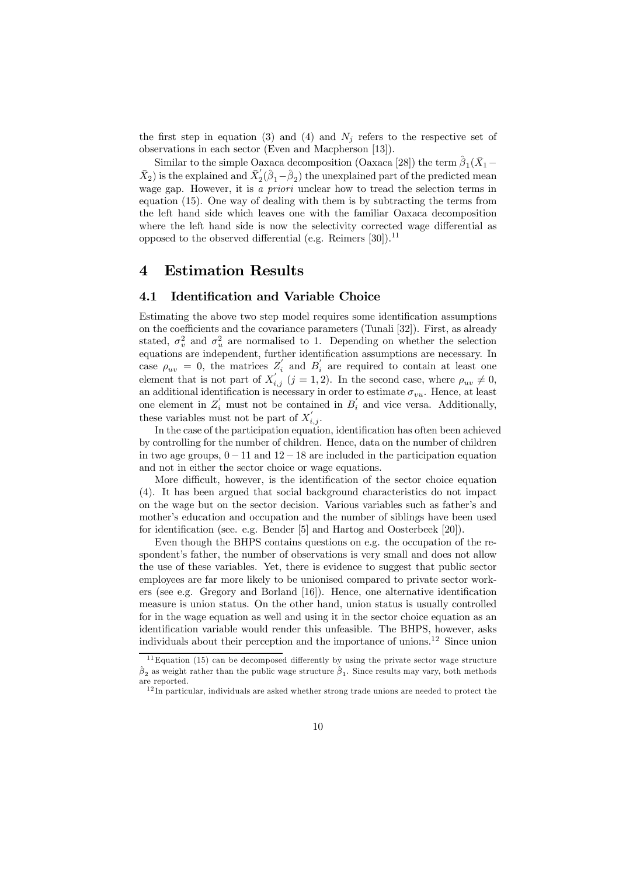the first step in equation (3) and (4) and  $N_j$  refers to the respective set of observations in each sector (Even and Macpherson [13]).

Similar to the simple Oaxaca decomposition (Oaxaca [28]) the term  $\hat{\beta}_1(\bar{X}_1-\bar{X}_2)$  $(\bar{X}_2)$  is the explained and  $\bar{X}_2'(\hat{\beta}_1-\hat{\beta}_2)$  the unexplained part of the predicted mean wage gap. However, it is a *priori* unclear how to tread the selection terms in equation (15). One way of dealing with them is by subtracting the terms from the left hand side which leaves one with the familiar Oaxaca decomposition where the left hand side is now the selectivity corrected wage differential as opposed to the observed differential (e.g. Reimers  $[30]$ ).<sup>11</sup>

#### 4 Estimation Results

#### 4.1 Identification and Variable Choice

Estimating the above two step model requires some identification assumptions on the coefficients and the covariance parameters (Tunali [32]). First, as already stated,  $\sigma_v^2$  and  $\sigma_u^2$  are normalised to 1. Depending on whether the selection equations are independent, further identification assumptions are necessary. In case  $\rho_{uv} = 0$ , the matrices  $Z_i'$  and  $B_i'$  are required to contain at least one element that is not part of  $X'_{i,j}$   $(j = 1, 2)$ . In the second case, where  $\rho_{uv} \neq 0$ , an additional identification is necessary in order to estimate  $\sigma_{vu}$ . Hence, at least one element in  $Z_i$  must not be contained in  $B_i$  and vice versa. Additionally, these variables must not be part of  $X'_{i,j}$ .

In the case of the participation equation, identification has often been achieved by controlling for the number of children. Hence, data on the number of children in two age groups,  $0-11$  and  $12-18$  are included in the participation equation and not in either the sector choice or wage equations.

More difficult, however, is the identification of the sector choice equation (4). It has been argued that social background characteristics do not impact on the wage but on the sector decision. Various variables such as father's and mother's education and occupation and the number of siblings have been used for identification (see. e.g. Bender [5] and Hartog and Oosterbeek [20]).

Even though the BHPS contains questions on e.g. the occupation of the respondent's father, the number of observations is very small and does not allow the use of these variables. Yet, there is evidence to suggest that public sector employees are far more likely to be unionised compared to private sector workers (see e.g. Gregory and Borland [16]). Hence, one alternative identification measure is union status. On the other hand, union status is usually controlled for in the wage equation as well and using it in the sector choice equation as an identification variable would render this unfeasible. The BHPS, however, asks individuals about their perception and the importance of unions.<sup>12</sup> Since union

 $11$  Equation (15) can be decomposed differently by using the private sector wage structure  $\hat{\beta}_2$  as weight rather than the public wage structure  $\hat{\beta}_1$ . Since results may vary, both methods are reported.

 $12$  In particular, individuals are asked whether strong trade unions are needed to protect the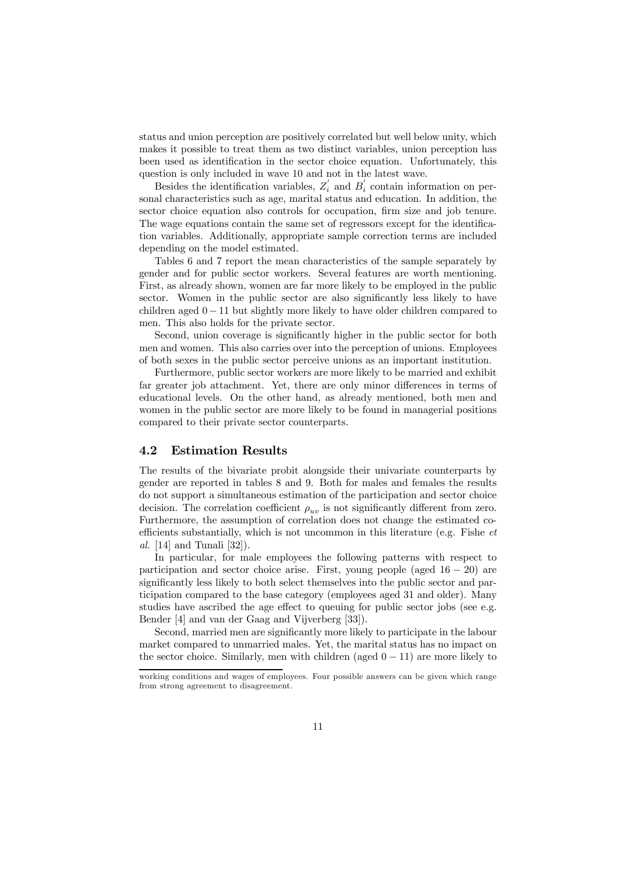status and union perception are positively correlated but well below unity, which makes it possible to treat them as two distinct variables, union perception has been used as identification in the sector choice equation. Unfortunately, this question is only included in wave 10 and not in the latest wave.

Besides the identification variables,  $Z_i'$  and  $B_i'$  contain information on personal characteristics such as age, marital status and education. In addition, the sector choice equation also controls for occupation, firm size and job tenure. The wage equations contain the same set of regressors except for the identification variables. Additionally, appropriate sample correction terms are included depending on the model estimated.

Tables 6 and 7 report the mean characteristics of the sample separately by gender and for public sector workers. Several features are worth mentioning. First, as already shown, women are far more likely to be employed in the public sector. Women in the public sector are also significantly less likely to have children aged  $0 - 11$  but slightly more likely to have older children compared to men. This also holds for the private sector.

Second, union coverage is significantly higher in the public sector for both men and women. This also carries over into the perception of unions. Employees of both sexes in the public sector perceive unions as an important institution.

Furthermore, public sector workers are more likely to be married and exhibit far greater job attachment. Yet, there are only minor differences in terms of educational levels. On the other hand, as already mentioned, both men and women in the public sector are more likely to be found in managerial positions compared to their private sector counterparts.

#### 4.2 Estimation Results

The results of the bivariate probit alongside their univariate counterparts by gender are reported in tables 8 and 9. Both for males and females the results do not support a simultaneous estimation of the participation and sector choice decision. The correlation coefficient  $\rho_{uv}$  is not significantly different from zero. Furthermore, the assumption of correlation does not change the estimated coefficients substantially, which is not uncommon in this literature (e.g. Fishe et al. [14] and Tunali [32]).

In particular, for male employees the following patterns with respect to participation and sector choice arise. First, young people (aged  $16 - 20$ ) are significantly less likely to both select themselves into the public sector and participation compared to the base category (employees aged 31 and older). Many studies have ascribed the age effect to queuing for public sector jobs (see e.g. Bender [4] and van der Gaag and Vijverberg [33]).

Second, married men are significantly more likely to participate in the labour market compared to unmarried males. Yet, the marital status has no impact on the sector choice. Similarly, men with children (aged  $0 - 11$ ) are more likely to

working conditions and wages of employees. Four possible answers can be given which range from strong agreement to disagreement.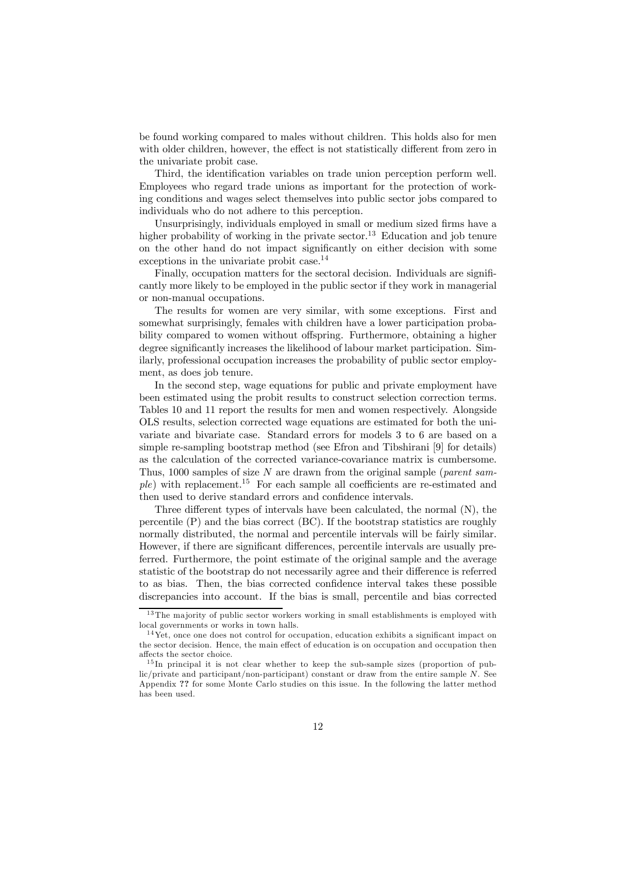be found working compared to males without children. This holds also for men with older children, however, the effect is not statistically different from zero in the univariate probit case.

Third, the identification variables on trade union perception perform well. Employees who regard trade unions as important for the protection of working conditions and wages select themselves into public sector jobs compared to individuals who do not adhere to this perception.

Unsurprisingly, individuals employed in small or medium sized firms have a higher probability of working in the private sector.<sup>13</sup> Education and job tenure on the other hand do not impact significantly on either decision with some exceptions in the univariate probit case.<sup>14</sup>

Finally, occupation matters for the sectoral decision. Individuals are significantly more likely to be employed in the public sector if they work in managerial or non-manual occupations.

The results for women are very similar, with some exceptions. First and somewhat surprisingly, females with children have a lower participation probability compared to women without offspring. Furthermore, obtaining a higher degree significantly increases the likelihood of labour market participation. Similarly, professional occupation increases the probability of public sector employment, as does job tenure.

In the second step, wage equations for public and private employment have been estimated using the probit results to construct selection correction terms. Tables 10 and 11 report the results for men and women respectively. Alongside OLS results, selection corrected wage equations are estimated for both the univariate and bivariate case. Standard errors for models 3 to 6 are based on a simple re-sampling bootstrap method (see Efron and Tibshirani [9] for details) as the calculation of the corrected variance-covariance matrix is cumbersome. Thus, 1000 samples of size  $N$  are drawn from the original sample (*parent sam*ple) with replacement.15 For each sample all coefficients are re-estimated and then used to derive standard errors and confidence intervals.

Three different types of intervals have been calculated, the normal (N), the percentile (P) and the bias correct (BC). If the bootstrap statistics are roughly normally distributed, the normal and percentile intervals will be fairly similar. However, if there are significant differences, percentile intervals are usually preferred. Furthermore, the point estimate of the original sample and the average statistic of the bootstrap do not necessarily agree and their difference is referred to as bias. Then, the bias corrected confidence interval takes these possible discrepancies into account. If the bias is small, percentile and bias corrected

 $13$ The majority of public sector workers working in small establishments is employed with local governments or works in town halls.

 $14$  Yet, once one does not control for occupation, education exhibits a significant impact on the sector decision. Hence, the main effect of education is on occupation and occupation then affects the sector choice.

 $15$  In principal it is not clear whether to keep the sub-sample sizes (proportion of pub $lic/private$  and participant/non-participant) constant or draw from the entire sample  $N$ . See Appendix ?? for some Monte Carlo studies on this issue. In the following the latter method has been used.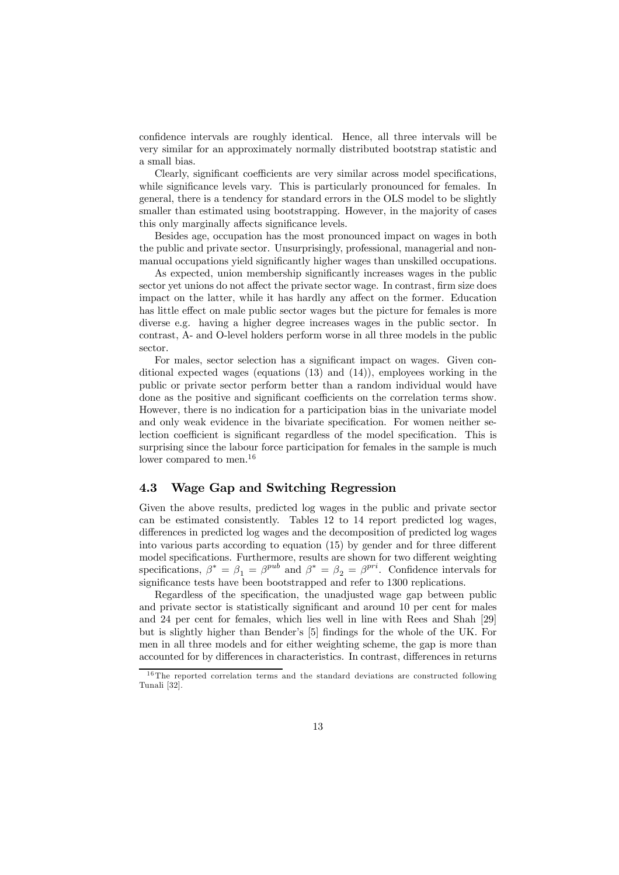confidence intervals are roughly identical. Hence, all three intervals will be very similar for an approximately normally distributed bootstrap statistic and a small bias.

Clearly, significant coefficients are very similar across model specifications, while significance levels vary. This is particularly pronounced for females. In general, there is a tendency for standard errors in the OLS model to be slightly smaller than estimated using bootstrapping. However, in the majority of cases this only marginally affects significance levels.

Besides age, occupation has the most pronounced impact on wages in both the public and private sector. Unsurprisingly, professional, managerial and nonmanual occupations yield significantly higher wages than unskilled occupations.

As expected, union membership significantly increases wages in the public sector yet unions do not affect the private sector wage. In contrast, firm size does impact on the latter, while it has hardly any affect on the former. Education has little effect on male public sector wages but the picture for females is more diverse e.g. having a higher degree increases wages in the public sector. In contrast, A- and O-level holders perform worse in all three models in the public sector.

For males, sector selection has a significant impact on wages. Given conditional expected wages (equations  $(13)$  and  $(14)$ ), employees working in the public or private sector perform better than a random individual would have done as the positive and significant coefficients on the correlation terms show. However, there is no indication for a participation bias in the univariate model and only weak evidence in the bivariate specification. For women neither selection coefficient is significant regardless of the model specification. This is surprising since the labour force participation for females in the sample is much lower compared to men.<sup>16</sup>

#### 4.3 Wage Gap and Switching Regression

Given the above results, predicted log wages in the public and private sector can be estimated consistently. Tables 12 to 14 report predicted log wages, differences in predicted log wages and the decomposition of predicted log wages into various parts according to equation (15) by gender and for three different model specifications. Furthermore, results are shown for two different weighting specifications,  $\beta^* = \beta_1 = \beta^{pub}$  and  $\beta^* = \beta_2 = \beta^{pri}$ . Confidence intervals for significance tests have been bootstrapped and refer to 1300 replications.

Regardless of the specification, the unadjusted wage gap between public and private sector is statistically significant and around 10 per cent for males and 24 per cent for females, which lies well in line with Rees and Shah [29] but is slightly higher than Bender's [5] findings for the whole of the UK. For men in all three models and for either weighting scheme, the gap is more than accounted for by differences in characteristics. In contrast, differences in returns

 $16$ The reported correlation terms and the standard deviations are constructed following Tunali [32].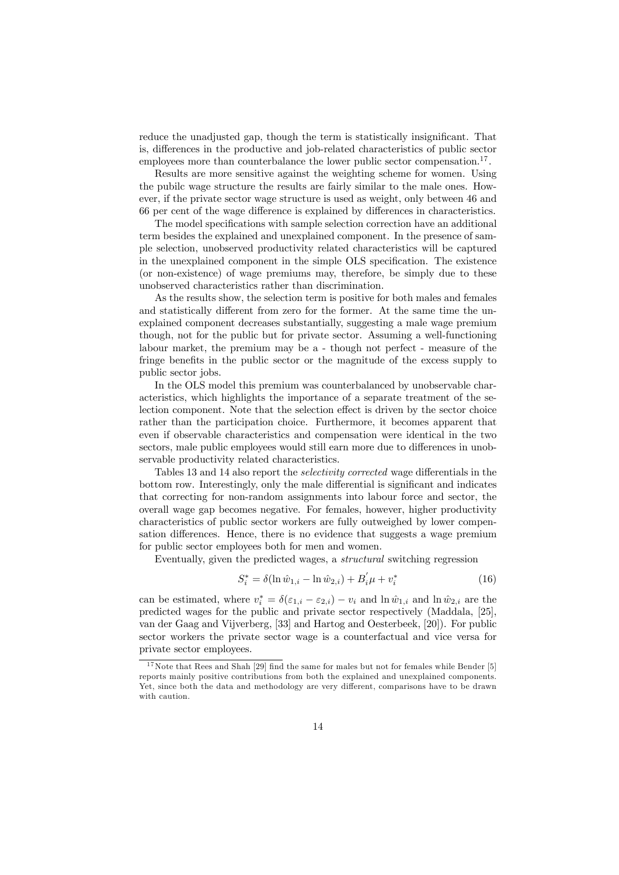reduce the unadjusted gap, though the term is statistically insignificant. That is, differences in the productive and job-related characteristics of public sector employees more than counterbalance the lower public sector compensation.<sup>17</sup>.

Results are more sensitive against the weighting scheme for women. Using the pubilc wage structure the results are fairly similar to the male ones. However, if the private sector wage structure is used as weight, only between 46 and 66 per cent of the wage difference is explained by differences in characteristics.

The model specifications with sample selection correction have an additional term besides the explained and unexplained component. In the presence of sample selection, unobserved productivity related characteristics will be captured in the unexplained component in the simple OLS specification. The existence (or non-existence) of wage premiums may, therefore, be simply due to these unobserved characteristics rather than discrimination.

As the results show, the selection term is positive for both males and females and statistically different from zero for the former. At the same time the unexplained component decreases substantially, suggesting a male wage premium though, not for the public but for private sector. Assuming a well-functioning labour market, the premium may be a - though not perfect - measure of the fringe benefits in the public sector or the magnitude of the excess supply to public sector jobs.

In the OLS model this premium was counterbalanced by unobservable characteristics, which highlights the importance of a separate treatment of the selection component. Note that the selection effect is driven by the sector choice rather than the participation choice. Furthermore, it becomes apparent that even if observable characteristics and compensation were identical in the two sectors, male public employees would still earn more due to differences in unobservable productivity related characteristics.

Tables 13 and 14 also report the selectivity corrected wage differentials in the bottom row. Interestingly, only the male differential is significant and indicates that correcting for non-random assignments into labour force and sector, the overall wage gap becomes negative. For females, however, higher productivity characteristics of public sector workers are fully outweighed by lower compensation differences. Hence, there is no evidence that suggests a wage premium for public sector employees both for men and women.

Eventually, given the predicted wages, a structural switching regression

$$
S_i^* = \delta(\ln \hat{w}_{1,i} - \ln \hat{w}_{2,i}) + B_i' \mu + v_i^* \tag{16}
$$

can be estimated, where  $v_i^* = \delta(\varepsilon_{1,i} - \varepsilon_{2,i}) - v_i$  and  $\ln \hat{w}_{1,i}$  and  $\ln \hat{w}_{2,i}$  are the predicted wages for the public and private sector respectively (Maddala, [25], van der Gaag and Vijverberg, [33] and Hartog and Oesterbeek, [20]). For public sector workers the private sector wage is a counterfactual and vice versa for private sector employees.

 $17$  Note that Rees and Shah [29] find the same for males but not for females while Bender [5] reports mainly positive contributions from both the explained and unexplained components. Yet, since both the data and methodology are very different, comparisons have to be drawn with caution.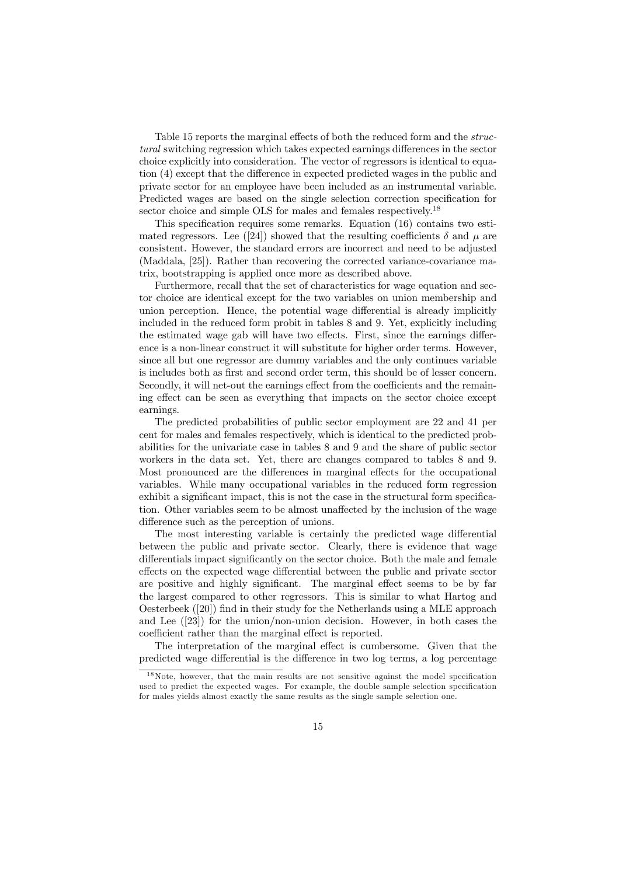Table 15 reports the marginal effects of both the reduced form and the structural switching regression which takes expected earnings differences in the sector choice explicitly into consideration. The vector of regressors is identical to equation (4) except that the difference in expected predicted wages in the public and private sector for an employee have been included as an instrumental variable. Predicted wages are based on the single selection correction specification for sector choice and simple OLS for males and females respectively.<sup>18</sup>

This specification requires some remarks. Equation (16) contains two estimated regressors. Lee ([24]) showed that the resulting coefficients  $\delta$  and  $\mu$  are consistent. However, the standard errors are incorrect and need to be adjusted (Maddala, [25]). Rather than recovering the corrected variance-covariance matrix, bootstrapping is applied once more as described above.

Furthermore, recall that the set of characteristics for wage equation and sector choice are identical except for the two variables on union membership and union perception. Hence, the potential wage differential is already implicitly included in the reduced form probit in tables 8 and 9. Yet, explicitly including the estimated wage gab will have two effects. First, since the earnings difference is a non-linear construct it will substitute for higher order terms. However, since all but one regressor are dummy variables and the only continues variable is includes both as first and second order term, this should be of lesser concern. Secondly, it will net-out the earnings effect from the coefficients and the remaining effect can be seen as everything that impacts on the sector choice except earnings.

The predicted probabilities of public sector employment are 22 and 41 per cent for males and females respectively, which is identical to the predicted probabilities for the univariate case in tables 8 and 9 and the share of public sector workers in the data set. Yet, there are changes compared to tables 8 and 9. Most pronounced are the differences in marginal effects for the occupational variables. While many occupational variables in the reduced form regression exhibit a significant impact, this is not the case in the structural form specification. Other variables seem to be almost unaffected by the inclusion of the wage difference such as the perception of unions.

The most interesting variable is certainly the predicted wage differential between the public and private sector. Clearly, there is evidence that wage differentials impact significantly on the sector choice. Both the male and female effects on the expected wage differential between the public and private sector are positive and highly significant. The marginal effect seems to be by far the largest compared to other regressors. This is similar to what Hartog and Oesterbeek ([20]) find in their study for the Netherlands using a MLE approach and Lee ([23]) for the union/non-union decision. However, in both cases the coefficient rather than the marginal effect is reported.

The interpretation of the marginal effect is cumbersome. Given that the predicted wage differential is the difference in two log terms, a log percentage

 $18$ Note, however, that the main results are not sensitive against the model specification used to predict the expected wages. For example, the double sample selection specification for males yields almost exactly the same results as the single sample selection one.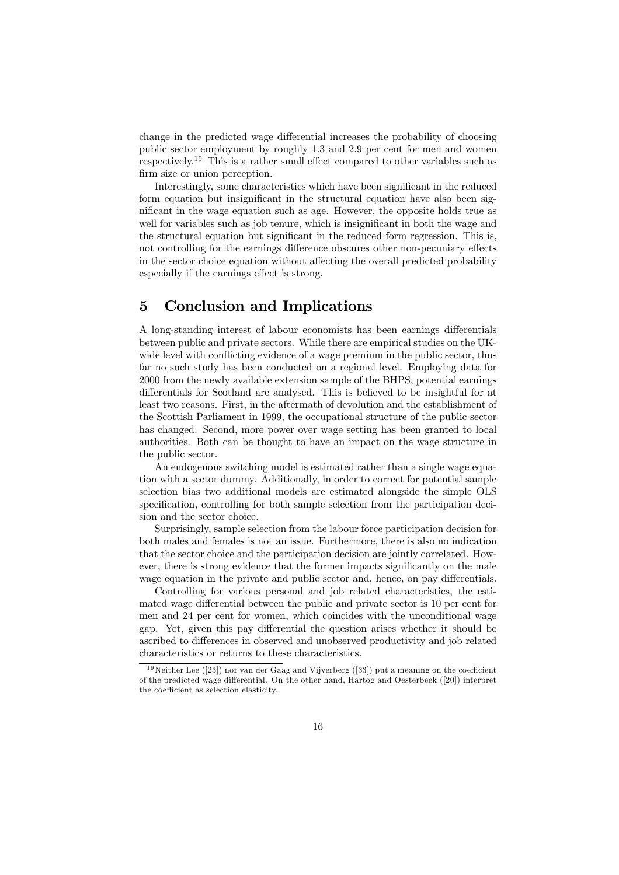change in the predicted wage differential increases the probability of choosing public sector employment by roughly 1.3 and 2.9 per cent for men and women respectively.<sup>19</sup> This is a rather small effect compared to other variables such as firm size or union perception.

Interestingly, some characteristics which have been significant in the reduced form equation but insignificant in the structural equation have also been significant in the wage equation such as age. However, the opposite holds true as well for variables such as job tenure, which is insignificant in both the wage and the structural equation but significant in the reduced form regression. This is, not controlling for the earnings difference obscures other non-pecuniary effects in the sector choice equation without affecting the overall predicted probability especially if the earnings effect is strong.

#### 5 Conclusion and Implications

A long-standing interest of labour economists has been earnings differentials between public and private sectors. While there are empirical studies on the UKwide level with conflicting evidence of a wage premium in the public sector, thus far no such study has been conducted on a regional level. Employing data for 2000 from the newly available extension sample of the BHPS, potential earnings differentials for Scotland are analysed. This is believed to be insightful for at least two reasons. First, in the aftermath of devolution and the establishment of the Scottish Parliament in 1999, the occupational structure of the public sector has changed. Second, more power over wage setting has been granted to local authorities. Both can be thought to have an impact on the wage structure in the public sector.

An endogenous switching model is estimated rather than a single wage equation with a sector dummy. Additionally, in order to correct for potential sample selection bias two additional models are estimated alongside the simple OLS specification, controlling for both sample selection from the participation decision and the sector choice.

Surprisingly, sample selection from the labour force participation decision for both males and females is not an issue. Furthermore, there is also no indication that the sector choice and the participation decision are jointly correlated. However, there is strong evidence that the former impacts significantly on the male wage equation in the private and public sector and, hence, on pay differentials.

Controlling for various personal and job related characteristics, the estimated wage differential between the public and private sector is 10 per cent for men and 24 per cent for women, which coincides with the unconditional wage gap. Yet, given this pay differential the question arises whether it should be ascribed to differences in observed and unobserved productivity and job related characteristics or returns to these characteristics.

 $19$ Neither Lee ([23]) nor van der Gaag and Vijverberg ([33]) put a meaning on the coefficient of the predicted wage differential. On the other hand, Hartog and Oesterbeek ([20]) interpret the coefficient as selection elasticity.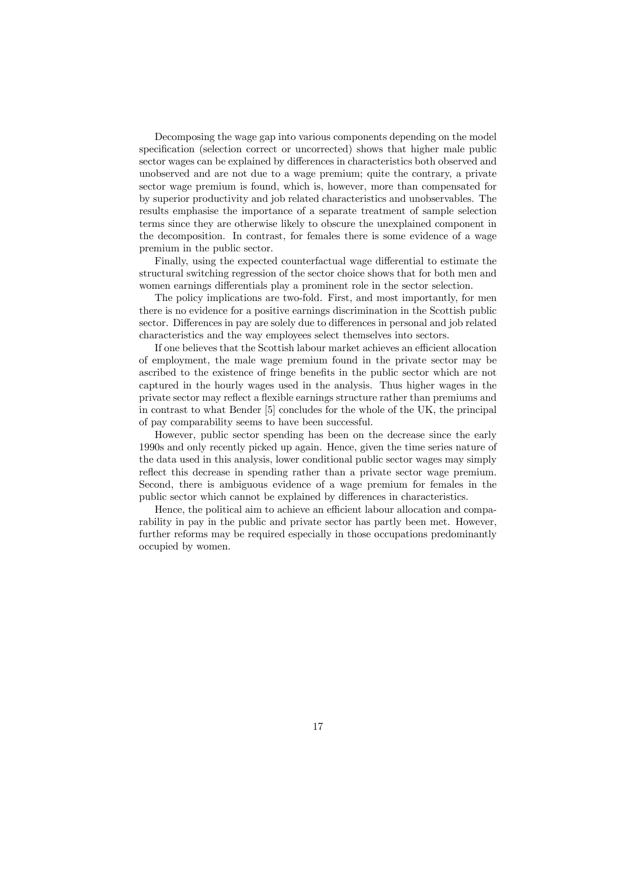Decomposing the wage gap into various components depending on the model specification (selection correct or uncorrected) shows that higher male public sector wages can be explained by differences in characteristics both observed and unobserved and are not due to a wage premium; quite the contrary, a private sector wage premium is found, which is, however, more than compensated for by superior productivity and job related characteristics and unobservables. The results emphasise the importance of a separate treatment of sample selection terms since they are otherwise likely to obscure the unexplained component in the decomposition. In contrast, for females there is some evidence of a wage premium in the public sector.

Finally, using the expected counterfactual wage differential to estimate the structural switching regression of the sector choice shows that for both men and women earnings differentials play a prominent role in the sector selection.

The policy implications are two-fold. First, and most importantly, for men there is no evidence for a positive earnings discrimination in the Scottish public sector. Differences in pay are solely due to differences in personal and job related characteristics and the way employees select themselves into sectors.

If one believes that the Scottish labour market achieves an efficient allocation of employment, the male wage premium found in the private sector may be ascribed to the existence of fringe benefits in the public sector which are not captured in the hourly wages used in the analysis. Thus higher wages in the private sector may reflect a flexible earnings structure rather than premiums and in contrast to what Bender [5] concludes for the whole of the UK, the principal of pay comparability seems to have been successful.

However, public sector spending has been on the decrease since the early 1990s and only recently picked up again. Hence, given the time series nature of the data used in this analysis, lower conditional public sector wages may simply reflect this decrease in spending rather than a private sector wage premium. Second, there is ambiguous evidence of a wage premium for females in the public sector which cannot be explained by differences in characteristics.

Hence, the political aim to achieve an efficient labour allocation and comparability in pay in the public and private sector has partly been met. However, further reforms may be required especially in those occupations predominantly occupied by women.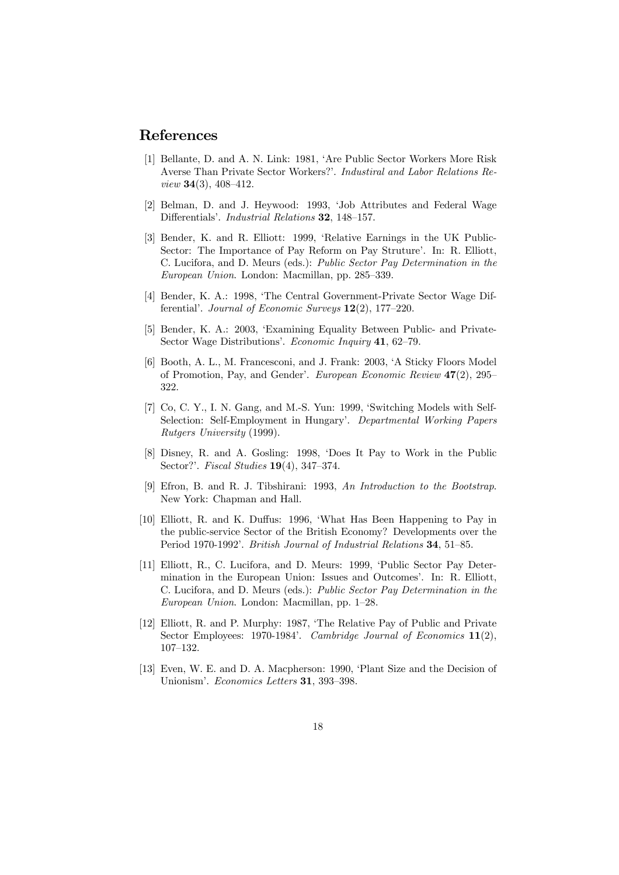#### References

- [1] Bellante, D. and A. N. Link: 1981, 'Are Public Sector Workers More Risk Averse Than Private Sector Workers?'. Industiral and Labor Relations Re*view* **34(3)**, 408-412.
- [2] Belman, D. and J. Heywood: 1993, 'Job Attributes and Federal Wage Differentials'. Industrial Relations 32, 148—157.
- [3] Bender, K. and R. Elliott: 1999, 'Relative Earnings in the UK Public-Sector: The Importance of Pay Reform on Pay Struture'. In: R. Elliott, C. Lucifora, and D. Meurs (eds.): Public Sector Pay Determination in the European Union. London: Macmillan, pp. 285—339.
- [4] Bender, K. A.: 1998, 'The Central Government-Private Sector Wage Differential'. Journal of Economic Surveys  $12(2)$ , 177–220.
- [5] Bender, K. A.: 2003, 'Examining Equality Between Public- and Private-Sector Wage Distributions'. Economic Inquiry 41, 62-79.
- [6] Booth, A. L., M. Francesconi, and J. Frank: 2003, 'A Sticky Floors Model of Promotion, Pay, and Gender'. European Economic Review 47(2), 295— 322.
- [7] Co, C. Y., I. N. Gang, and M.-S. Yun: 1999, 'Switching Models with Self-Selection: Self-Employment in Hungary'. Departmental Working Papers Rutgers University (1999).
- [8] Disney, R. and A. Gosling: 1998, 'Does It Pay to Work in the Public Sector?'. Fiscal Studies 19(4), 347—374.
- [9] Efron, B. and R. J. Tibshirani: 1993, An Introduction to the Bootstrap. New York: Chapman and Hall.
- [10] Elliott, R. and K. Duffus: 1996, 'What Has Been Happening to Pay in the public-service Sector of the British Economy? Developments over the Period 1970-1992'. British Journal of Industrial Relations 34, 51—85.
- [11] Elliott, R., C. Lucifora, and D. Meurs: 1999, 'Public Sector Pay Determination in the European Union: Issues and Outcomes'. In: R. Elliott, C. Lucifora, and D. Meurs (eds.): Public Sector Pay Determination in the European Union. London: Macmillan, pp. 1—28.
- [12] Elliott, R. and P. Murphy: 1987, 'The Relative Pay of Public and Private Sector Employees: 1970-1984'. *Cambridge Journal of Economics* 11(2), 107—132.
- [13] Even, W. E. and D. A. Macpherson: 1990, 'Plant Size and the Decision of Unionism'. Economics Letters 31, 393—398.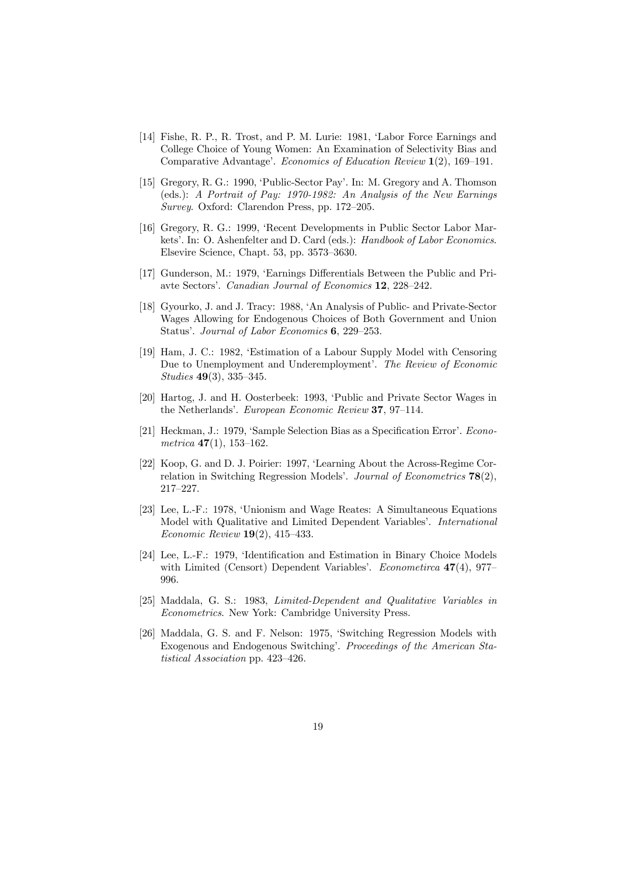- [14] Fishe, R. P., R. Trost, and P. M. Lurie: 1981, 'Labor Force Earnings and College Choice of Young Women: An Examination of Selectivity Bias and Comparative Advantage'. Economics of Education Review 1(2), 169—191.
- [15] Gregory, R. G.: 1990, 'Public-Sector Pay'. In: M. Gregory and A. Thomson (eds.): A Portrait of Pay: 1970-1982: An Analysis of the New Earnings Survey. Oxford: Clarendon Press, pp. 172—205.
- [16] Gregory, R. G.: 1999, 'Recent Developments in Public Sector Labor Markets'. In: O. Ashenfelter and D. Card (eds.): Handbook of Labor Economics. Elsevire Science, Chapt. 53, pp. 3573—3630.
- [17] Gunderson, M.: 1979, 'Earnings Differentials Between the Public and Priavte Sectors'. Canadian Journal of Economics 12, 228—242.
- [18] Gyourko, J. and J. Tracy: 1988, 'An Analysis of Public- and Private-Sector Wages Allowing for Endogenous Choices of Both Government and Union Status'. Journal of Labor Economics 6, 229—253.
- [19] Ham, J. C.: 1982, 'Estimation of a Labour Supply Model with Censoring Due to Unemployment and Underemployment'. The Review of Economic Studies 49(3), 335—345.
- [20] Hartog, J. and H. Oosterbeek: 1993, 'Public and Private Sector Wages in the Netherlands'. European Economic Review 37, 97—114.
- [21] Heckman, J.: 1979, 'Sample Selection Bias as a Specification Error'. Econometrica  $47(1)$ , 153-162.
- [22] Koop, G. and D. J. Poirier: 1997, 'Learning About the Across-Regime Correlation in Switching Regression Models'. Journal of Econometrics 78(2), 217—227.
- [23] Lee, L.-F.: 1978, 'Unionism and Wage Reates: A Simultaneous Equations Model with Qualitative and Limited Dependent Variables'. International Economic Review 19(2), 415—433.
- [24] Lee, L.-F.: 1979, 'Identification and Estimation in Binary Choice Models with Limited (Censort) Dependent Variables'. Econometirca 47(4), 977– 996.
- [25] Maddala, G. S.: 1983, Limited-Dependent and Qualitative Variables in Econometrics. New York: Cambridge University Press.
- [26] Maddala, G. S. and F. Nelson: 1975, 'Switching Regression Models with Exogenous and Endogenous Switching'. Proceedings of the American Statistical Association pp. 423—426.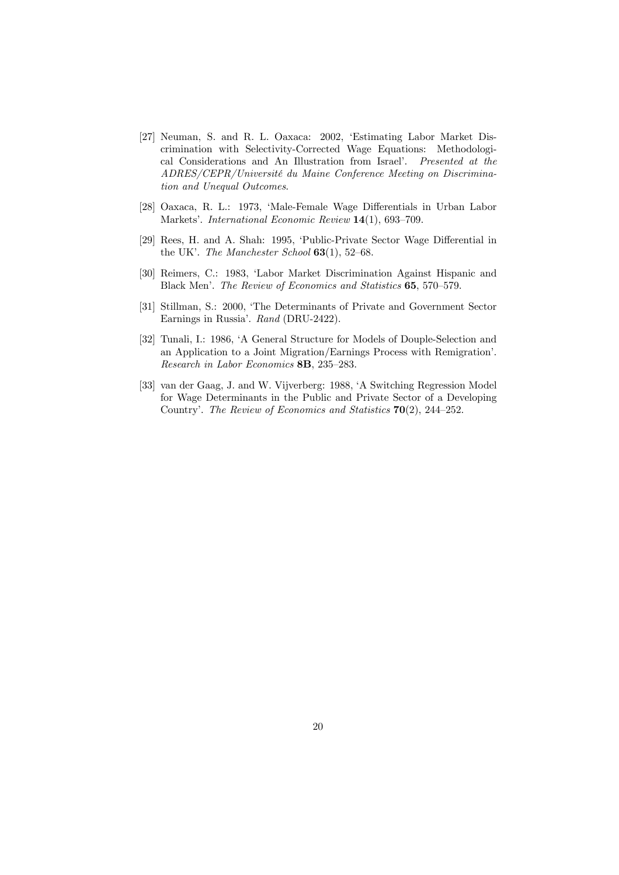- [27] Neuman, S. and R. L. Oaxaca: 2002, 'Estimating Labor Market Discrimination with Selectivity-Corrected Wage Equations: Methodological Considerations and An Illustration from Israel'. Presented at the ADRES/CEPR/Université du Maine Conference Meeting on Discrimination and Unequal Outcomes.
- [28] Oaxaca, R. L.: 1973, 'Male-Female Wage Differentials in Urban Labor Markets'. International Economic Review 14(1), 693—709.
- [29] Rees, H. and A. Shah: 1995, 'Public-Private Sector Wage Differential in the UK'. The Manchester School  $63(1)$ , 52–68.
- [30] Reimers, C.: 1983, 'Labor Market Discrimination Against Hispanic and Black Men'. The Review of Economics and Statistics 65, 570—579.
- [31] Stillman, S.: 2000, 'The Determinants of Private and Government Sector Earnings in Russia'. Rand (DRU-2422).
- [32] Tunali, I.: 1986, 'A General Structure for Models of Douple-Selection and an Application to a Joint Migration/Earnings Process with Remigration'. Research in Labor Economics 8B, 235—283.
- [33] van der Gaag, J. and W. Vijverberg: 1988, 'A Switching Regression Model for Wage Determinants in the Public and Private Sector of a Developing Country'. The Review of Economics and Statistics 70(2), 244—252.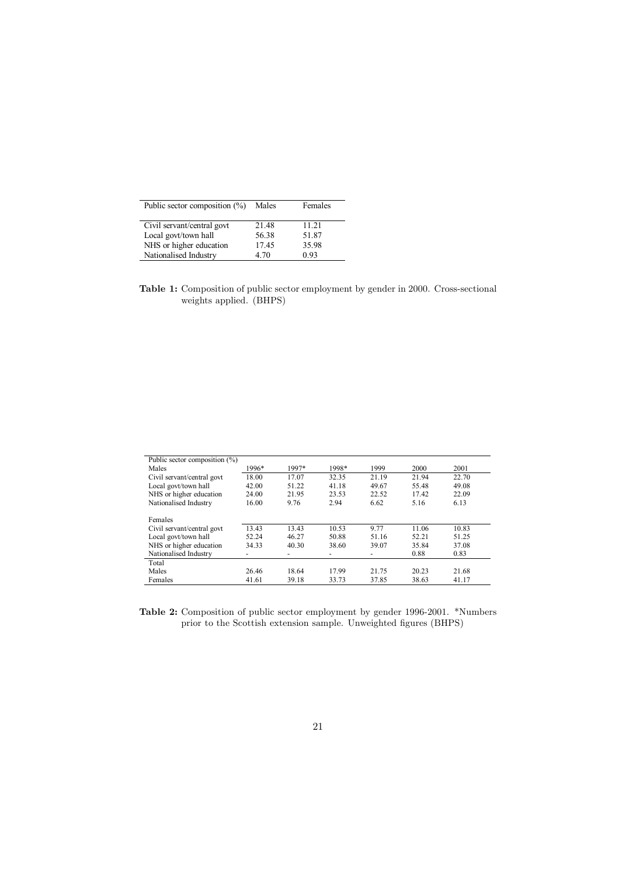| Public sector composition $(\%)$ | Males | Females |
|----------------------------------|-------|---------|
| Civil servant/central govt       | 21.48 | 11.21   |
| Local govt/town hall             | 56.38 | 51.87   |
| NHS or higher education          | 17.45 | 35.98   |
| Nationalised Industry            | 4.70  | 0.93    |

Table 1: Composition of public sector employment by gender in 2000. Cross-sectional weights applied. (BHPS)

| Public sector composition (%) |       |       |       |       |       |       |
|-------------------------------|-------|-------|-------|-------|-------|-------|
| Males                         | 1996* | 1997* | 1998* | 1999  | 2000  | 2001  |
| Civil servant/central govt    | 18.00 | 17.07 | 32.35 | 21.19 | 21.94 | 22.70 |
| Local govt/town hall          | 42.00 | 51.22 | 41.18 | 49.67 | 55.48 | 49.08 |
| NHS or higher education       | 24.00 | 21.95 | 23.53 | 22.52 | 17.42 | 22.09 |
| Nationalised Industry         | 16.00 | 9.76  | 2.94  | 6.62  | 5.16  | 6.13  |
| Females                       |       |       |       |       |       |       |
| Civil servant/central govt    | 13.43 | 13.43 | 10.53 | 9.77  | 11.06 | 10.83 |
| Local govt/town hall          | 52.24 | 46.27 | 50.88 | 51.16 | 52.21 | 51.25 |
| NHS or higher education       | 34.33 | 40.30 | 38.60 | 39.07 | 35.84 | 37.08 |
| Nationalised Industry         | ٠     | -     | -     | -     | 0.88  | 0.83  |
| Total                         |       |       |       |       |       |       |
| Males                         | 26.46 | 18.64 | 17.99 | 21.75 | 20.23 | 21.68 |
| Females                       | 41.61 | 39.18 | 33.73 | 37.85 | 38.63 | 41.17 |

Table 2: Composition of public sector employment by gender 1996-2001. \*Numbers prior to the Scottish extension sample. Unweighted figures (BHPS)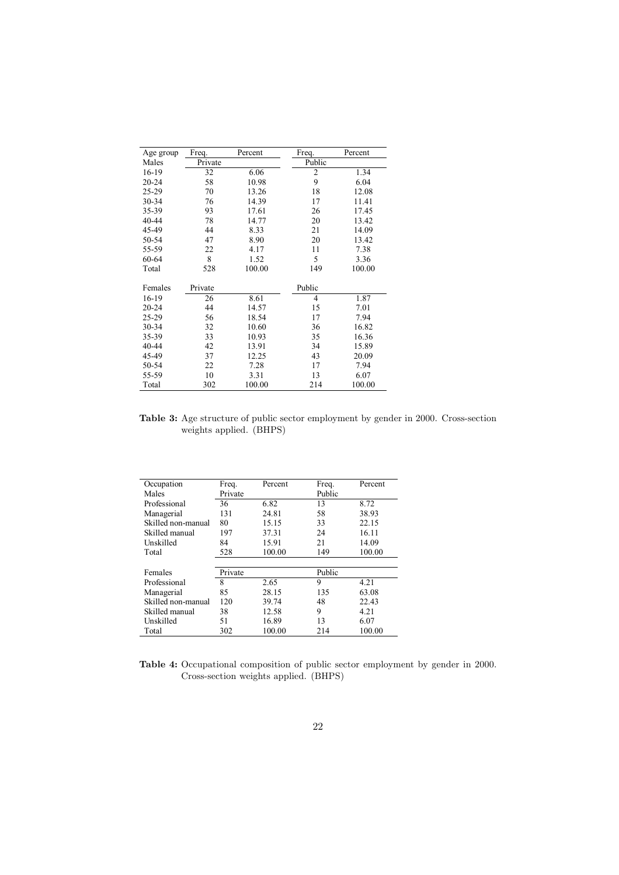| Age group | Freq.   | Percent | Freq.          | Percent |
|-----------|---------|---------|----------------|---------|
| Males     | Private |         | Public         |         |
| 16-19     | 32      | 6.06    | $\overline{2}$ | 1.34    |
| $20 - 24$ | 58      | 10.98   | 9              | 6.04    |
| 25-29     | 70      | 13.26   | 18             | 12.08   |
| 30-34     | 76      | 14.39   | 17             | 11.41   |
| 35-39     | 93      | 17.61   | 26             | 17.45   |
| 40-44     | 78      | 14.77   | 20             | 13.42   |
| 45-49     | 44      | 8.33    | 21             | 14.09   |
| 50-54     | 47      | 8.90    | 20             | 13.42   |
| 55-59     | 22      | 4.17    | 11             | 7.38    |
| 60-64     | 8       | 1.52    | 5              | 3.36    |
| Total     | 528     | 100.00  | 149            | 100.00  |
|           |         |         |                |         |
| Females   | Private |         | Public         |         |
| 16-19     | 26      | 8.61    | $\overline{4}$ | 1.87    |
| $20 - 24$ | 44      | 14.57   | 15             | 7.01    |
| 25-29     | 56      | 18.54   | 17             | 7.94    |
| 30-34     | 32      | 10.60   | 36             | 16.82   |
| 35-39     | 33      | 10.93   | 35             | 16.36   |
| 40-44     | 42      | 13.91   | 34             | 15.89   |
| 45-49     | 37      | 12.25   | 43             | 20.09   |
| 50-54     | 22      | 7.28    | 17             | 7.94    |
| 55-59     | 10      | 3.31    | 13             | 6.07    |
| Total     | 302     | 100.00  | 214            | 100.00  |

Table 3: Age structure of public sector employment by gender in 2000. Cross-section weights applied. (BHPS)

| Occupation         | Freq.   | Percent | Freq.  | Percent |
|--------------------|---------|---------|--------|---------|
| Males              | Private |         | Public |         |
| Professional       | 36      | 6.82    | 13     | 8.72    |
| Managerial         | 131     | 24.81   | 58     | 38.93   |
| Skilled non-manual | 80      | 15.15   | 33     | 22.15   |
| Skilled manual     | 197     | 37.31   | 24     | 16.11   |
| Unskilled          | 84      | 15.91   | 21     | 14.09   |
| Total              | 528     | 100.00  | 149    | 100.00  |
|                    |         |         |        |         |
| Females            | Private |         | Public |         |
| Professional       | 8       | 2.65    | 9      | 4.21    |
| Managerial         | 85      | 28.15   | 135    | 63.08   |
| Skilled non-manual | 120     | 39.74   | 48     | 22.43   |
| Skilled manual     | 38      | 12.58   | 9      | 4.21    |
| Unskilled          | 51      | 16.89   | 13     | 6.07    |
| Total              | 302     | 100.00  | 214    | 100.00  |

Table 4: Occupational composition of public sector employment by gender in 2000. Cross-section weights applied. (BHPS)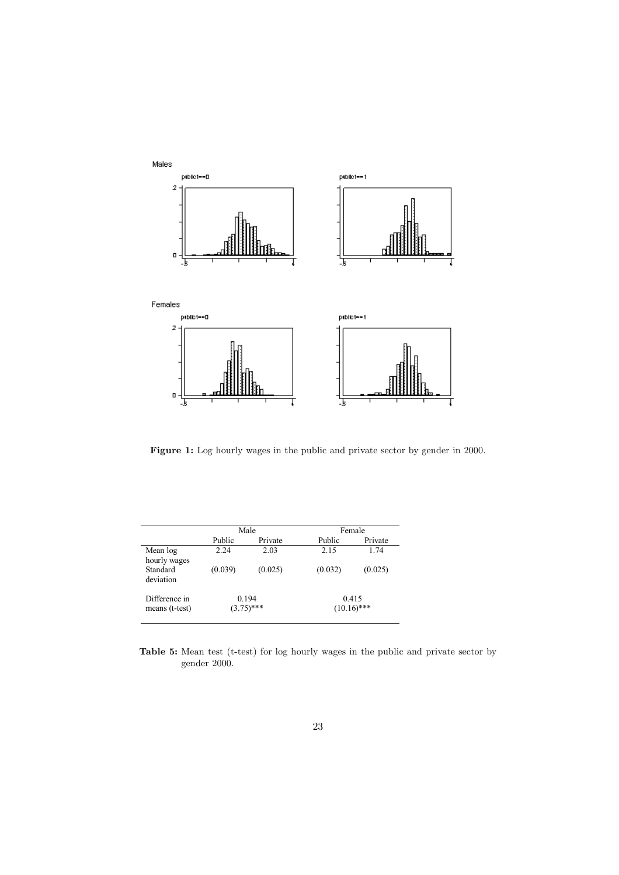

Figure 1: Log hourly wages in the public and private sector by gender in 2000.

|                                       |         | Male                  | Female                 |         |
|---------------------------------------|---------|-----------------------|------------------------|---------|
|                                       | Public  | Private               | Public                 | Private |
| Mean log                              | 2.24    | 2.03                  | 2.15                   | 1.74    |
| hourly wages<br>Standard<br>deviation | (0.039) | (0.025)               | (0.032)                | (0.025) |
| Difference in<br>means (t-test)       |         | 0.194<br>$(3.75)$ *** | 0.415<br>$(10.16)$ *** |         |

Table 5: Mean test (t-test) for log hourly wages in the public and private sector by gender 2000.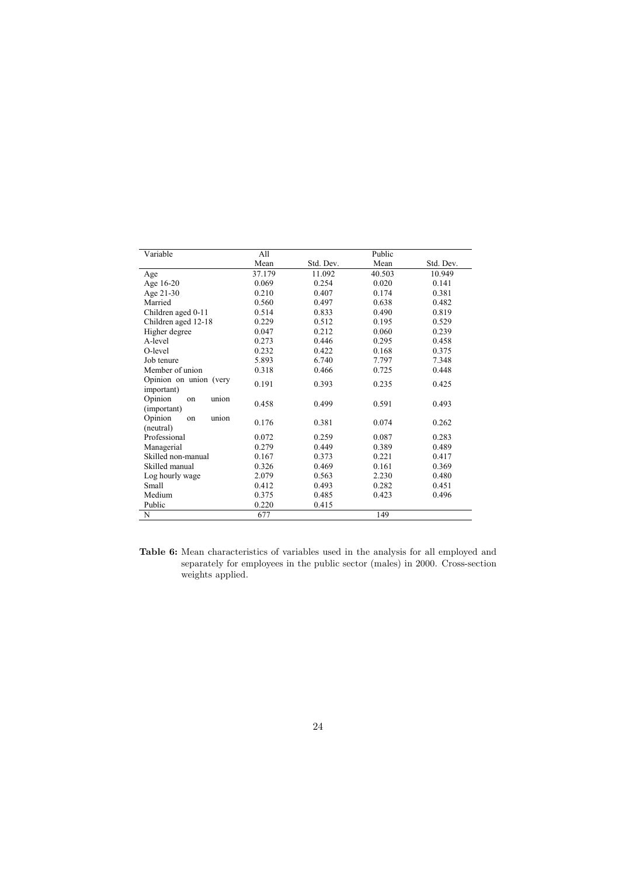| Variable                              | All    |           | Public |           |
|---------------------------------------|--------|-----------|--------|-----------|
|                                       | Mean   | Std. Dev. | Mean   | Std. Dev. |
| Age                                   | 37.179 | 11.092    | 40.503 | 10.949    |
| Age 16-20                             | 0.069  | 0.254     | 0.020  | 0.141     |
| Age 21-30                             | 0.210  | 0.407     | 0.174  | 0.381     |
| Married                               | 0.560  | 0.497     | 0.638  | 0.482     |
| Children aged 0-11                    | 0.514  | 0.833     | 0.490  | 0.819     |
| Children aged 12-18                   | 0.229  | 0.512     | 0.195  | 0.529     |
| Higher degree                         | 0.047  | 0.212     | 0.060  | 0.239     |
| A-level                               | 0.273  | 0.446     | 0.295  | 0.458     |
| O-level                               | 0.232  | 0.422     | 0.168  | 0.375     |
| Job tenure                            | 5.893  | 6.740     | 7.797  | 7.348     |
| Member of union                       | 0.318  | 0.466     | 0.725  | 0.448     |
| Opinion on union (very<br>important)  | 0.191  | 0.393     | 0.235  | 0.425     |
| Opinion<br>union<br>on<br>(important) | 0.458  | 0.499     | 0.591  | 0.493     |
| Opinion<br>union<br>on<br>(neutral)   | 0.176  | 0.381     | 0.074  | 0.262     |
| Professional                          | 0.072  | 0.259     | 0.087  | 0.283     |
| Managerial                            | 0.279  | 0.449     | 0.389  | 0.489     |
| Skilled non-manual                    | 0.167  | 0.373     | 0.221  | 0.417     |
| Skilled manual                        | 0.326  | 0.469     | 0.161  | 0.369     |
| Log hourly wage                       | 2.079  | 0.563     | 2.230  | 0.480     |
| Small                                 | 0.412  | 0.493     | 0.282  | 0.451     |
| Medium                                | 0.375  | 0.485     | 0.423  | 0.496     |
| Public                                | 0.220  | 0.415     |        |           |
| N                                     | 677    |           | 149    |           |

Table 6: Mean characteristics of variables used in the analysis for all employed and separately for employees in the public sector (males) in 2000. Cross-section weights applied.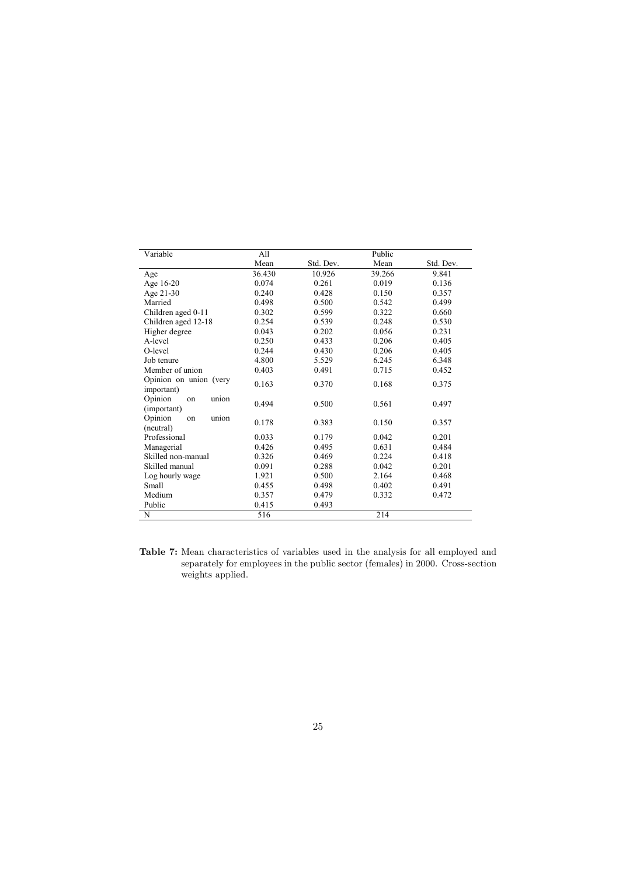| Variable                              | All    |           | Public |           |
|---------------------------------------|--------|-----------|--------|-----------|
|                                       | Mean   | Std. Dev. | Mean   | Std. Dev. |
| Age                                   | 36.430 | 10.926    | 39.266 | 9.841     |
| Age 16-20                             | 0.074  | 0.261     | 0.019  | 0.136     |
| Age 21-30                             | 0.240  | 0.428     | 0.150  | 0.357     |
| Married                               | 0.498  | 0.500     | 0.542  | 0.499     |
| Children aged 0-11                    | 0.302  | 0.599     | 0.322  | 0.660     |
| Children aged 12-18                   | 0.254  | 0.539     | 0.248  | 0.530     |
| Higher degree                         | 0.043  | 0.202     | 0.056  | 0.231     |
| A-level                               | 0.250  | 0.433     | 0.206  | 0.405     |
| O-level                               | 0.244  | 0.430     | 0.206  | 0.405     |
| Job tenure                            | 4.800  | 5.529     | 6.245  | 6.348     |
| Member of union                       | 0.403  | 0.491     | 0.715  | 0.452     |
| Opinion on union (very<br>important)  | 0.163  | 0.370     | 0.168  | 0.375     |
| Opinion<br>union<br>on<br>(important) | 0.494  | 0.500     | 0.561  | 0.497     |
| Opinion<br>union<br>on<br>(neutral)   | 0.178  | 0.383     | 0.150  | 0.357     |
| Professional                          | 0.033  | 0.179     | 0.042  | 0.201     |
| Managerial                            | 0.426  | 0.495     | 0.631  | 0.484     |
| Skilled non-manual                    | 0.326  | 0.469     | 0.224  | 0.418     |
| Skilled manual                        | 0.091  | 0.288     | 0.042  | 0.201     |
| Log hourly wage                       | 1.921  | 0.500     | 2.164  | 0.468     |
| Small                                 | 0.455  | 0.498     | 0.402  | 0.491     |
| Medium                                | 0.357  | 0.479     | 0.332  | 0.472     |
| Public                                | 0.415  | 0.493     |        |           |
| N                                     | 516    |           | 214    |           |

Table 7: Mean characteristics of variables used in the analysis for all employed and separately for employees in the public sector (females) in 2000. Cross-section weights applied.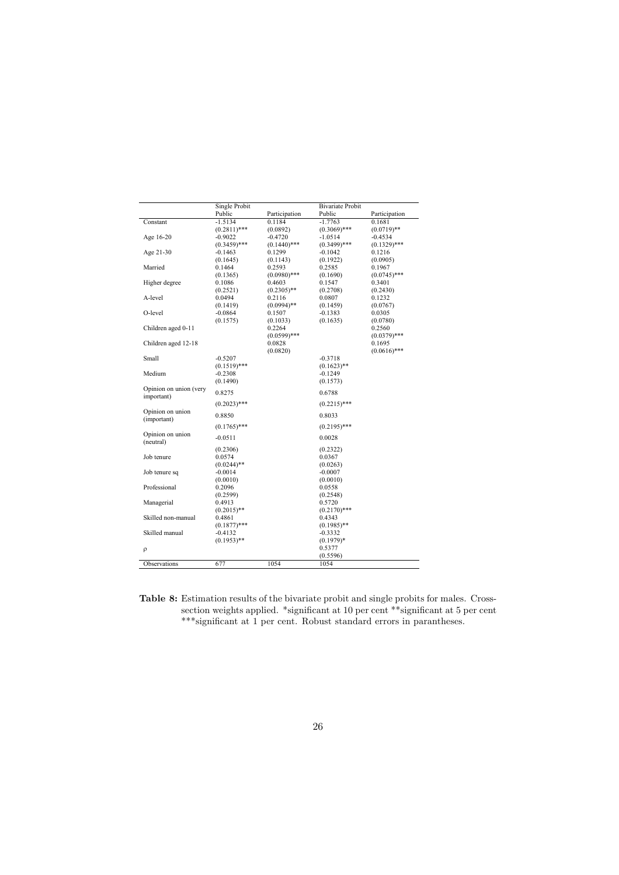| <b>Bivariate Probit</b><br>Single Probit<br>Public<br>Participation<br>Public<br>Participation<br>$-1.7763$<br>Constant<br>$-1.5134$<br>0.1184<br>0.1681<br>$(0.2811)$ ***<br>(0.0892)<br>$(0.3069)$ ***<br>$(0.0719)$ **<br>Age 16-20<br>$-0.9022$<br>$-0.4720$<br>$-1.0514$<br>$-0.4534$<br>$(0.3459)$ ***<br>$(0.1440)$ ***<br>$(0.3499)$ ***<br>$(0.1329)$ ***<br>Age 21-30<br>$-0.1463$<br>0.1299<br>$-0.1042$<br>0.1216<br>(0.1645)<br>(0.1922)<br>(0.0905)<br>(0.1143)<br>Married<br>0.1464<br>0.2593<br>0.2585<br>0.1967<br>$(0.0980)$ ***<br>$(0.0745)$ ***<br>(0.1365)<br>(0.1690)<br>Higher degree<br>0.1086<br>0.4603<br>0.1547<br>0.3401<br>(0.2521)<br>$(0.2305)$ **<br>(0.2708)<br>(0.2430)<br>A-level<br>0.0494<br>0.2116<br>0.0807<br>0.1232<br>$(0.0994)$ **<br>(0.1419)<br>(0.1459)<br>(0.0767)<br>O-level<br>$-0.0864$<br>0.1507<br>$-0.1383$<br>0.0305<br>(0.1575)<br>(0.1635)<br>(0.0780)<br>(0.1033)<br>Children aged 0-11<br>0.2264<br>0.2560 |
|-----------------------------------------------------------------------------------------------------------------------------------------------------------------------------------------------------------------------------------------------------------------------------------------------------------------------------------------------------------------------------------------------------------------------------------------------------------------------------------------------------------------------------------------------------------------------------------------------------------------------------------------------------------------------------------------------------------------------------------------------------------------------------------------------------------------------------------------------------------------------------------------------------------------------------------------------------------------------|
|                                                                                                                                                                                                                                                                                                                                                                                                                                                                                                                                                                                                                                                                                                                                                                                                                                                                                                                                                                       |
|                                                                                                                                                                                                                                                                                                                                                                                                                                                                                                                                                                                                                                                                                                                                                                                                                                                                                                                                                                       |
|                                                                                                                                                                                                                                                                                                                                                                                                                                                                                                                                                                                                                                                                                                                                                                                                                                                                                                                                                                       |
|                                                                                                                                                                                                                                                                                                                                                                                                                                                                                                                                                                                                                                                                                                                                                                                                                                                                                                                                                                       |
|                                                                                                                                                                                                                                                                                                                                                                                                                                                                                                                                                                                                                                                                                                                                                                                                                                                                                                                                                                       |
|                                                                                                                                                                                                                                                                                                                                                                                                                                                                                                                                                                                                                                                                                                                                                                                                                                                                                                                                                                       |
|                                                                                                                                                                                                                                                                                                                                                                                                                                                                                                                                                                                                                                                                                                                                                                                                                                                                                                                                                                       |
|                                                                                                                                                                                                                                                                                                                                                                                                                                                                                                                                                                                                                                                                                                                                                                                                                                                                                                                                                                       |
|                                                                                                                                                                                                                                                                                                                                                                                                                                                                                                                                                                                                                                                                                                                                                                                                                                                                                                                                                                       |
|                                                                                                                                                                                                                                                                                                                                                                                                                                                                                                                                                                                                                                                                                                                                                                                                                                                                                                                                                                       |
|                                                                                                                                                                                                                                                                                                                                                                                                                                                                                                                                                                                                                                                                                                                                                                                                                                                                                                                                                                       |
|                                                                                                                                                                                                                                                                                                                                                                                                                                                                                                                                                                                                                                                                                                                                                                                                                                                                                                                                                                       |
|                                                                                                                                                                                                                                                                                                                                                                                                                                                                                                                                                                                                                                                                                                                                                                                                                                                                                                                                                                       |
|                                                                                                                                                                                                                                                                                                                                                                                                                                                                                                                                                                                                                                                                                                                                                                                                                                                                                                                                                                       |
|                                                                                                                                                                                                                                                                                                                                                                                                                                                                                                                                                                                                                                                                                                                                                                                                                                                                                                                                                                       |
|                                                                                                                                                                                                                                                                                                                                                                                                                                                                                                                                                                                                                                                                                                                                                                                                                                                                                                                                                                       |
| $(0.0599)$ ***<br>$(0.0379)$ ***                                                                                                                                                                                                                                                                                                                                                                                                                                                                                                                                                                                                                                                                                                                                                                                                                                                                                                                                      |
| Children aged 12-18<br>0.0828<br>0.1695                                                                                                                                                                                                                                                                                                                                                                                                                                                                                                                                                                                                                                                                                                                                                                                                                                                                                                                               |
| $(0.0616)$ ***<br>(0.0820)                                                                                                                                                                                                                                                                                                                                                                                                                                                                                                                                                                                                                                                                                                                                                                                                                                                                                                                                            |
| Small<br>$-0.5207$<br>$-0.3718$                                                                                                                                                                                                                                                                                                                                                                                                                                                                                                                                                                                                                                                                                                                                                                                                                                                                                                                                       |
| $(0.1519)$ ***<br>$(0.1623)$ **                                                                                                                                                                                                                                                                                                                                                                                                                                                                                                                                                                                                                                                                                                                                                                                                                                                                                                                                       |
| Medium<br>$-0.2308$<br>$-0.1249$                                                                                                                                                                                                                                                                                                                                                                                                                                                                                                                                                                                                                                                                                                                                                                                                                                                                                                                                      |
| (0.1490)<br>(0.1573)                                                                                                                                                                                                                                                                                                                                                                                                                                                                                                                                                                                                                                                                                                                                                                                                                                                                                                                                                  |
| Opinion on union (very                                                                                                                                                                                                                                                                                                                                                                                                                                                                                                                                                                                                                                                                                                                                                                                                                                                                                                                                                |
| 0.8275<br>0.6788<br>important)                                                                                                                                                                                                                                                                                                                                                                                                                                                                                                                                                                                                                                                                                                                                                                                                                                                                                                                                        |
| $(0.2023)$ ***<br>$(0.2215)$ ***                                                                                                                                                                                                                                                                                                                                                                                                                                                                                                                                                                                                                                                                                                                                                                                                                                                                                                                                      |
| Opinion on union                                                                                                                                                                                                                                                                                                                                                                                                                                                                                                                                                                                                                                                                                                                                                                                                                                                                                                                                                      |
| 0.8850<br>0.8033<br>(important)                                                                                                                                                                                                                                                                                                                                                                                                                                                                                                                                                                                                                                                                                                                                                                                                                                                                                                                                       |
| $(0.1765)$ ***<br>$(0.2195)$ ***                                                                                                                                                                                                                                                                                                                                                                                                                                                                                                                                                                                                                                                                                                                                                                                                                                                                                                                                      |
| Opinion on union                                                                                                                                                                                                                                                                                                                                                                                                                                                                                                                                                                                                                                                                                                                                                                                                                                                                                                                                                      |
| $-0.0511$<br>0.0028<br>(neutral)                                                                                                                                                                                                                                                                                                                                                                                                                                                                                                                                                                                                                                                                                                                                                                                                                                                                                                                                      |
| (0.2322)<br>(0.2306)                                                                                                                                                                                                                                                                                                                                                                                                                                                                                                                                                                                                                                                                                                                                                                                                                                                                                                                                                  |
| Job tenure<br>0.0367<br>0.0574                                                                                                                                                                                                                                                                                                                                                                                                                                                                                                                                                                                                                                                                                                                                                                                                                                                                                                                                        |
| $(0.0244)$ **<br>(0.0263)                                                                                                                                                                                                                                                                                                                                                                                                                                                                                                                                                                                                                                                                                                                                                                                                                                                                                                                                             |
| Job tenure sq<br>$-0.0007$<br>$-0.0014$                                                                                                                                                                                                                                                                                                                                                                                                                                                                                                                                                                                                                                                                                                                                                                                                                                                                                                                               |
| (0.0010)<br>(0.0010)                                                                                                                                                                                                                                                                                                                                                                                                                                                                                                                                                                                                                                                                                                                                                                                                                                                                                                                                                  |
| Professional<br>0.2096<br>0.0558                                                                                                                                                                                                                                                                                                                                                                                                                                                                                                                                                                                                                                                                                                                                                                                                                                                                                                                                      |
| (0.2599)<br>(0.2548)                                                                                                                                                                                                                                                                                                                                                                                                                                                                                                                                                                                                                                                                                                                                                                                                                                                                                                                                                  |
| Managerial<br>0.4913<br>0.5720                                                                                                                                                                                                                                                                                                                                                                                                                                                                                                                                                                                                                                                                                                                                                                                                                                                                                                                                        |
| $(0.2170)$ ***<br>$(0.2015)$ **                                                                                                                                                                                                                                                                                                                                                                                                                                                                                                                                                                                                                                                                                                                                                                                                                                                                                                                                       |
| Skilled non-manual<br>0.4861<br>0.4343                                                                                                                                                                                                                                                                                                                                                                                                                                                                                                                                                                                                                                                                                                                                                                                                                                                                                                                                |
| $(0.1877)$ ***<br>$(0.1985)$ **                                                                                                                                                                                                                                                                                                                                                                                                                                                                                                                                                                                                                                                                                                                                                                                                                                                                                                                                       |
| Skilled manual<br>$-0.4132$<br>$-0.3332$                                                                                                                                                                                                                                                                                                                                                                                                                                                                                                                                                                                                                                                                                                                                                                                                                                                                                                                              |
| $(0.1953)$ **<br>$(0.1979)*$                                                                                                                                                                                                                                                                                                                                                                                                                                                                                                                                                                                                                                                                                                                                                                                                                                                                                                                                          |
| 0.5377<br>ρ                                                                                                                                                                                                                                                                                                                                                                                                                                                                                                                                                                                                                                                                                                                                                                                                                                                                                                                                                           |
| (0.5596)                                                                                                                                                                                                                                                                                                                                                                                                                                                                                                                                                                                                                                                                                                                                                                                                                                                                                                                                                              |
| 677<br>Observations<br>1054<br>1054                                                                                                                                                                                                                                                                                                                                                                                                                                                                                                                                                                                                                                                                                                                                                                                                                                                                                                                                   |

Table 8: Estimation results of the bivariate probit and single probits for males. Crosssection weights applied. \*significant at 10 per cent \*\*significant at 5 per cent \*\*\*significant at 1 per cent. Robust standard errors in parantheses.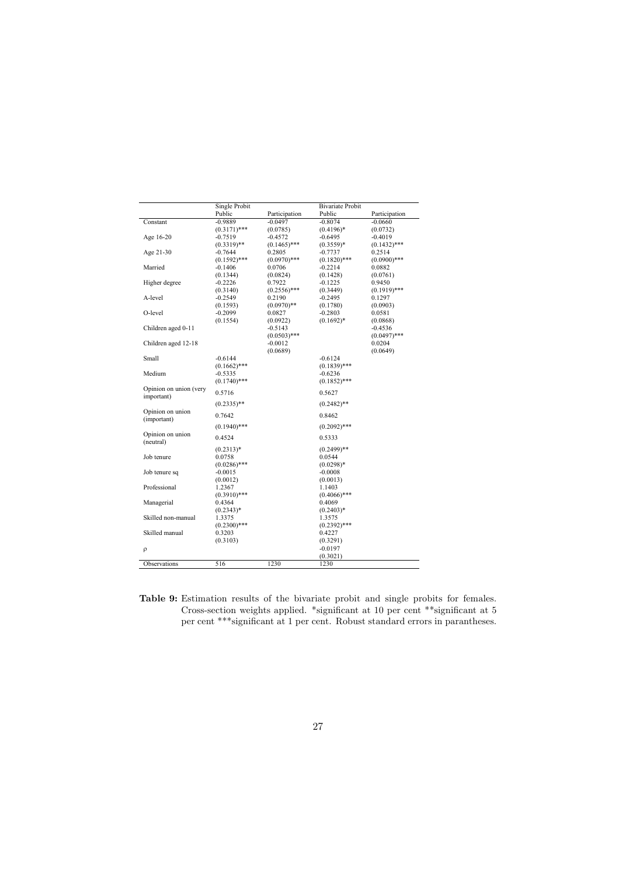| Public<br>Participation<br>Public<br>Participation<br>Constant<br>$-0.9889$<br>$-0.0497$<br>$-0.8074$<br>$-0.0660$<br>$(0.3171)$ ***<br>$(0.4196)*$<br>(0.0785)<br>(0.0732)<br>Age 16-20<br>$-0.7519$<br>$-0.4572$<br>$-0.6495$<br>$-0.4019$<br>$(0.3319)$ **<br>$(0.1465)$ ***<br>$(0.3559)*$<br>$(0.1432)$ ***<br>Age 21-30<br>$-0.7644$<br>0.2805<br>$-0.7737$<br>0.2514<br>$(0.0970)$ ***<br>$(0.1820)$ ***<br>$(0.0900)$ ***<br>$(0.1592)$ ***<br>Married<br>$-0.1406$<br>0.0706<br>$-0.2214$<br>0.0882<br>(0.1344)<br>(0.0824)<br>(0.1428)<br>(0.0761)<br>Higher degree<br>$-0.2226$<br>0.7922<br>$-0.1225$<br>0.9450<br>$(0.2556)$ ***<br>$(0.1919)$ ***<br>(0.3140)<br>(0.3449)<br>A-level<br>$-0.2549$<br>$-0.2495$<br>0.2190<br>0.1297<br>(0.1593)<br>$(0.0970)$ **<br>(0.1780)<br>(0.0903)<br>O-level<br>$-0.2803$<br>$-0.2099$<br>0.0827<br>0.0581<br>(0.1554)<br>$(0.1692)*$<br>(0.0922)<br>(0.0868)<br>Children aged 0-11<br>$-0.5143$<br>$-0.4536$<br>$(0.0503)$ ***<br>$(0.0497)$ ***<br>Children aged 12-18<br>$-0.0012$<br>0.0204<br>(0.0689)<br>(0.0649)<br>Small<br>$-0.6144$<br>$-0.6124$<br>$(0.1662)$ ***<br>$(0.1839)$ ***<br>Medium<br>$-0.5335$<br>$-0.6236$<br>$(0.1740)$ ***<br>$(0.1852)$ ***<br>Opinion on union (very<br>0.5716<br>0.5627<br>important)<br>$(0.2335)$ **<br>$(0.2482)$ **<br>Opinion on union<br>0.7642<br>0.8462<br>(important)<br>$(0.1940)$ ***<br>$(0.2092)$ ***<br>Opinion on union<br>0.4524<br>0.5333<br>(neutral)<br>$(0.2499)$ **<br>$(0.2313)*$<br>Job tenure<br>0.0758<br>0.0544<br>$(0.0286)$ ***<br>$(0.0298)*$<br>Job tenure sq<br>$-0.0015$<br>$-0.0008$<br>(0.0012)<br>(0.0013)<br>Professional<br>1.2367<br>1.1403<br>$(0.3910)$ ***<br>$(0.4066)$ ***<br>Managerial<br>0.4364<br>0.4069<br>$(0.2343)*$<br>$(0.2403)*$<br>Skilled non-manual<br>1.3375<br>1.3575<br>$(0.2300)$ ***<br>$(0.2392)$ ***<br>Skilled manual<br>0.3203<br>0.4227<br>(0.3103)<br>(0.3291)<br>$-0.0197$<br>ρ | Single Probit | <b>Bivariate Probit</b> |  |
|------------------------------------------------------------------------------------------------------------------------------------------------------------------------------------------------------------------------------------------------------------------------------------------------------------------------------------------------------------------------------------------------------------------------------------------------------------------------------------------------------------------------------------------------------------------------------------------------------------------------------------------------------------------------------------------------------------------------------------------------------------------------------------------------------------------------------------------------------------------------------------------------------------------------------------------------------------------------------------------------------------------------------------------------------------------------------------------------------------------------------------------------------------------------------------------------------------------------------------------------------------------------------------------------------------------------------------------------------------------------------------------------------------------------------------------------------------------------------------------------------------------------------------------------------------------------------------------------------------------------------------------------------------------------------------------------------------------------------------------------------------------------------------------------------------------------------------------------------------------------------------------------------------------------------------------------------|---------------|-------------------------|--|
|                                                                                                                                                                                                                                                                                                                                                                                                                                                                                                                                                                                                                                                                                                                                                                                                                                                                                                                                                                                                                                                                                                                                                                                                                                                                                                                                                                                                                                                                                                                                                                                                                                                                                                                                                                                                                                                                                                                                                      |               |                         |  |
|                                                                                                                                                                                                                                                                                                                                                                                                                                                                                                                                                                                                                                                                                                                                                                                                                                                                                                                                                                                                                                                                                                                                                                                                                                                                                                                                                                                                                                                                                                                                                                                                                                                                                                                                                                                                                                                                                                                                                      |               |                         |  |
|                                                                                                                                                                                                                                                                                                                                                                                                                                                                                                                                                                                                                                                                                                                                                                                                                                                                                                                                                                                                                                                                                                                                                                                                                                                                                                                                                                                                                                                                                                                                                                                                                                                                                                                                                                                                                                                                                                                                                      |               |                         |  |
|                                                                                                                                                                                                                                                                                                                                                                                                                                                                                                                                                                                                                                                                                                                                                                                                                                                                                                                                                                                                                                                                                                                                                                                                                                                                                                                                                                                                                                                                                                                                                                                                                                                                                                                                                                                                                                                                                                                                                      |               |                         |  |
|                                                                                                                                                                                                                                                                                                                                                                                                                                                                                                                                                                                                                                                                                                                                                                                                                                                                                                                                                                                                                                                                                                                                                                                                                                                                                                                                                                                                                                                                                                                                                                                                                                                                                                                                                                                                                                                                                                                                                      |               |                         |  |
|                                                                                                                                                                                                                                                                                                                                                                                                                                                                                                                                                                                                                                                                                                                                                                                                                                                                                                                                                                                                                                                                                                                                                                                                                                                                                                                                                                                                                                                                                                                                                                                                                                                                                                                                                                                                                                                                                                                                                      |               |                         |  |
|                                                                                                                                                                                                                                                                                                                                                                                                                                                                                                                                                                                                                                                                                                                                                                                                                                                                                                                                                                                                                                                                                                                                                                                                                                                                                                                                                                                                                                                                                                                                                                                                                                                                                                                                                                                                                                                                                                                                                      |               |                         |  |
|                                                                                                                                                                                                                                                                                                                                                                                                                                                                                                                                                                                                                                                                                                                                                                                                                                                                                                                                                                                                                                                                                                                                                                                                                                                                                                                                                                                                                                                                                                                                                                                                                                                                                                                                                                                                                                                                                                                                                      |               |                         |  |
|                                                                                                                                                                                                                                                                                                                                                                                                                                                                                                                                                                                                                                                                                                                                                                                                                                                                                                                                                                                                                                                                                                                                                                                                                                                                                                                                                                                                                                                                                                                                                                                                                                                                                                                                                                                                                                                                                                                                                      |               |                         |  |
|                                                                                                                                                                                                                                                                                                                                                                                                                                                                                                                                                                                                                                                                                                                                                                                                                                                                                                                                                                                                                                                                                                                                                                                                                                                                                                                                                                                                                                                                                                                                                                                                                                                                                                                                                                                                                                                                                                                                                      |               |                         |  |
|                                                                                                                                                                                                                                                                                                                                                                                                                                                                                                                                                                                                                                                                                                                                                                                                                                                                                                                                                                                                                                                                                                                                                                                                                                                                                                                                                                                                                                                                                                                                                                                                                                                                                                                                                                                                                                                                                                                                                      |               |                         |  |
|                                                                                                                                                                                                                                                                                                                                                                                                                                                                                                                                                                                                                                                                                                                                                                                                                                                                                                                                                                                                                                                                                                                                                                                                                                                                                                                                                                                                                                                                                                                                                                                                                                                                                                                                                                                                                                                                                                                                                      |               |                         |  |
|                                                                                                                                                                                                                                                                                                                                                                                                                                                                                                                                                                                                                                                                                                                                                                                                                                                                                                                                                                                                                                                                                                                                                                                                                                                                                                                                                                                                                                                                                                                                                                                                                                                                                                                                                                                                                                                                                                                                                      |               |                         |  |
|                                                                                                                                                                                                                                                                                                                                                                                                                                                                                                                                                                                                                                                                                                                                                                                                                                                                                                                                                                                                                                                                                                                                                                                                                                                                                                                                                                                                                                                                                                                                                                                                                                                                                                                                                                                                                                                                                                                                                      |               |                         |  |
|                                                                                                                                                                                                                                                                                                                                                                                                                                                                                                                                                                                                                                                                                                                                                                                                                                                                                                                                                                                                                                                                                                                                                                                                                                                                                                                                                                                                                                                                                                                                                                                                                                                                                                                                                                                                                                                                                                                                                      |               |                         |  |
|                                                                                                                                                                                                                                                                                                                                                                                                                                                                                                                                                                                                                                                                                                                                                                                                                                                                                                                                                                                                                                                                                                                                                                                                                                                                                                                                                                                                                                                                                                                                                                                                                                                                                                                                                                                                                                                                                                                                                      |               |                         |  |
|                                                                                                                                                                                                                                                                                                                                                                                                                                                                                                                                                                                                                                                                                                                                                                                                                                                                                                                                                                                                                                                                                                                                                                                                                                                                                                                                                                                                                                                                                                                                                                                                                                                                                                                                                                                                                                                                                                                                                      |               |                         |  |
|                                                                                                                                                                                                                                                                                                                                                                                                                                                                                                                                                                                                                                                                                                                                                                                                                                                                                                                                                                                                                                                                                                                                                                                                                                                                                                                                                                                                                                                                                                                                                                                                                                                                                                                                                                                                                                                                                                                                                      |               |                         |  |
|                                                                                                                                                                                                                                                                                                                                                                                                                                                                                                                                                                                                                                                                                                                                                                                                                                                                                                                                                                                                                                                                                                                                                                                                                                                                                                                                                                                                                                                                                                                                                                                                                                                                                                                                                                                                                                                                                                                                                      |               |                         |  |
|                                                                                                                                                                                                                                                                                                                                                                                                                                                                                                                                                                                                                                                                                                                                                                                                                                                                                                                                                                                                                                                                                                                                                                                                                                                                                                                                                                                                                                                                                                                                                                                                                                                                                                                                                                                                                                                                                                                                                      |               |                         |  |
|                                                                                                                                                                                                                                                                                                                                                                                                                                                                                                                                                                                                                                                                                                                                                                                                                                                                                                                                                                                                                                                                                                                                                                                                                                                                                                                                                                                                                                                                                                                                                                                                                                                                                                                                                                                                                                                                                                                                                      |               |                         |  |
|                                                                                                                                                                                                                                                                                                                                                                                                                                                                                                                                                                                                                                                                                                                                                                                                                                                                                                                                                                                                                                                                                                                                                                                                                                                                                                                                                                                                                                                                                                                                                                                                                                                                                                                                                                                                                                                                                                                                                      |               |                         |  |
|                                                                                                                                                                                                                                                                                                                                                                                                                                                                                                                                                                                                                                                                                                                                                                                                                                                                                                                                                                                                                                                                                                                                                                                                                                                                                                                                                                                                                                                                                                                                                                                                                                                                                                                                                                                                                                                                                                                                                      |               |                         |  |
|                                                                                                                                                                                                                                                                                                                                                                                                                                                                                                                                                                                                                                                                                                                                                                                                                                                                                                                                                                                                                                                                                                                                                                                                                                                                                                                                                                                                                                                                                                                                                                                                                                                                                                                                                                                                                                                                                                                                                      |               |                         |  |
|                                                                                                                                                                                                                                                                                                                                                                                                                                                                                                                                                                                                                                                                                                                                                                                                                                                                                                                                                                                                                                                                                                                                                                                                                                                                                                                                                                                                                                                                                                                                                                                                                                                                                                                                                                                                                                                                                                                                                      |               |                         |  |
|                                                                                                                                                                                                                                                                                                                                                                                                                                                                                                                                                                                                                                                                                                                                                                                                                                                                                                                                                                                                                                                                                                                                                                                                                                                                                                                                                                                                                                                                                                                                                                                                                                                                                                                                                                                                                                                                                                                                                      |               |                         |  |
|                                                                                                                                                                                                                                                                                                                                                                                                                                                                                                                                                                                                                                                                                                                                                                                                                                                                                                                                                                                                                                                                                                                                                                                                                                                                                                                                                                                                                                                                                                                                                                                                                                                                                                                                                                                                                                                                                                                                                      |               |                         |  |
|                                                                                                                                                                                                                                                                                                                                                                                                                                                                                                                                                                                                                                                                                                                                                                                                                                                                                                                                                                                                                                                                                                                                                                                                                                                                                                                                                                                                                                                                                                                                                                                                                                                                                                                                                                                                                                                                                                                                                      |               |                         |  |
|                                                                                                                                                                                                                                                                                                                                                                                                                                                                                                                                                                                                                                                                                                                                                                                                                                                                                                                                                                                                                                                                                                                                                                                                                                                                                                                                                                                                                                                                                                                                                                                                                                                                                                                                                                                                                                                                                                                                                      |               |                         |  |
|                                                                                                                                                                                                                                                                                                                                                                                                                                                                                                                                                                                                                                                                                                                                                                                                                                                                                                                                                                                                                                                                                                                                                                                                                                                                                                                                                                                                                                                                                                                                                                                                                                                                                                                                                                                                                                                                                                                                                      |               |                         |  |
|                                                                                                                                                                                                                                                                                                                                                                                                                                                                                                                                                                                                                                                                                                                                                                                                                                                                                                                                                                                                                                                                                                                                                                                                                                                                                                                                                                                                                                                                                                                                                                                                                                                                                                                                                                                                                                                                                                                                                      |               |                         |  |
|                                                                                                                                                                                                                                                                                                                                                                                                                                                                                                                                                                                                                                                                                                                                                                                                                                                                                                                                                                                                                                                                                                                                                                                                                                                                                                                                                                                                                                                                                                                                                                                                                                                                                                                                                                                                                                                                                                                                                      |               |                         |  |
|                                                                                                                                                                                                                                                                                                                                                                                                                                                                                                                                                                                                                                                                                                                                                                                                                                                                                                                                                                                                                                                                                                                                                                                                                                                                                                                                                                                                                                                                                                                                                                                                                                                                                                                                                                                                                                                                                                                                                      |               |                         |  |
|                                                                                                                                                                                                                                                                                                                                                                                                                                                                                                                                                                                                                                                                                                                                                                                                                                                                                                                                                                                                                                                                                                                                                                                                                                                                                                                                                                                                                                                                                                                                                                                                                                                                                                                                                                                                                                                                                                                                                      |               |                         |  |
|                                                                                                                                                                                                                                                                                                                                                                                                                                                                                                                                                                                                                                                                                                                                                                                                                                                                                                                                                                                                                                                                                                                                                                                                                                                                                                                                                                                                                                                                                                                                                                                                                                                                                                                                                                                                                                                                                                                                                      |               |                         |  |
|                                                                                                                                                                                                                                                                                                                                                                                                                                                                                                                                                                                                                                                                                                                                                                                                                                                                                                                                                                                                                                                                                                                                                                                                                                                                                                                                                                                                                                                                                                                                                                                                                                                                                                                                                                                                                                                                                                                                                      |               |                         |  |
|                                                                                                                                                                                                                                                                                                                                                                                                                                                                                                                                                                                                                                                                                                                                                                                                                                                                                                                                                                                                                                                                                                                                                                                                                                                                                                                                                                                                                                                                                                                                                                                                                                                                                                                                                                                                                                                                                                                                                      |               |                         |  |
|                                                                                                                                                                                                                                                                                                                                                                                                                                                                                                                                                                                                                                                                                                                                                                                                                                                                                                                                                                                                                                                                                                                                                                                                                                                                                                                                                                                                                                                                                                                                                                                                                                                                                                                                                                                                                                                                                                                                                      |               |                         |  |
|                                                                                                                                                                                                                                                                                                                                                                                                                                                                                                                                                                                                                                                                                                                                                                                                                                                                                                                                                                                                                                                                                                                                                                                                                                                                                                                                                                                                                                                                                                                                                                                                                                                                                                                                                                                                                                                                                                                                                      |               |                         |  |
|                                                                                                                                                                                                                                                                                                                                                                                                                                                                                                                                                                                                                                                                                                                                                                                                                                                                                                                                                                                                                                                                                                                                                                                                                                                                                                                                                                                                                                                                                                                                                                                                                                                                                                                                                                                                                                                                                                                                                      |               |                         |  |
|                                                                                                                                                                                                                                                                                                                                                                                                                                                                                                                                                                                                                                                                                                                                                                                                                                                                                                                                                                                                                                                                                                                                                                                                                                                                                                                                                                                                                                                                                                                                                                                                                                                                                                                                                                                                                                                                                                                                                      |               |                         |  |
|                                                                                                                                                                                                                                                                                                                                                                                                                                                                                                                                                                                                                                                                                                                                                                                                                                                                                                                                                                                                                                                                                                                                                                                                                                                                                                                                                                                                                                                                                                                                                                                                                                                                                                                                                                                                                                                                                                                                                      |               |                         |  |
|                                                                                                                                                                                                                                                                                                                                                                                                                                                                                                                                                                                                                                                                                                                                                                                                                                                                                                                                                                                                                                                                                                                                                                                                                                                                                                                                                                                                                                                                                                                                                                                                                                                                                                                                                                                                                                                                                                                                                      |               |                         |  |
|                                                                                                                                                                                                                                                                                                                                                                                                                                                                                                                                                                                                                                                                                                                                                                                                                                                                                                                                                                                                                                                                                                                                                                                                                                                                                                                                                                                                                                                                                                                                                                                                                                                                                                                                                                                                                                                                                                                                                      |               |                         |  |
|                                                                                                                                                                                                                                                                                                                                                                                                                                                                                                                                                                                                                                                                                                                                                                                                                                                                                                                                                                                                                                                                                                                                                                                                                                                                                                                                                                                                                                                                                                                                                                                                                                                                                                                                                                                                                                                                                                                                                      |               |                         |  |
|                                                                                                                                                                                                                                                                                                                                                                                                                                                                                                                                                                                                                                                                                                                                                                                                                                                                                                                                                                                                                                                                                                                                                                                                                                                                                                                                                                                                                                                                                                                                                                                                                                                                                                                                                                                                                                                                                                                                                      |               | (0.3021)                |  |
| Observations<br>516<br>1230<br>1230                                                                                                                                                                                                                                                                                                                                                                                                                                                                                                                                                                                                                                                                                                                                                                                                                                                                                                                                                                                                                                                                                                                                                                                                                                                                                                                                                                                                                                                                                                                                                                                                                                                                                                                                                                                                                                                                                                                  |               |                         |  |

Table 9: Estimation results of the bivariate probit and single probits for females. Cross-section weights applied. \*significant at 10 per cent \*\*significant at 5 per cent \*\*\*significant at 1 per cent. Robust standard errors in parantheses.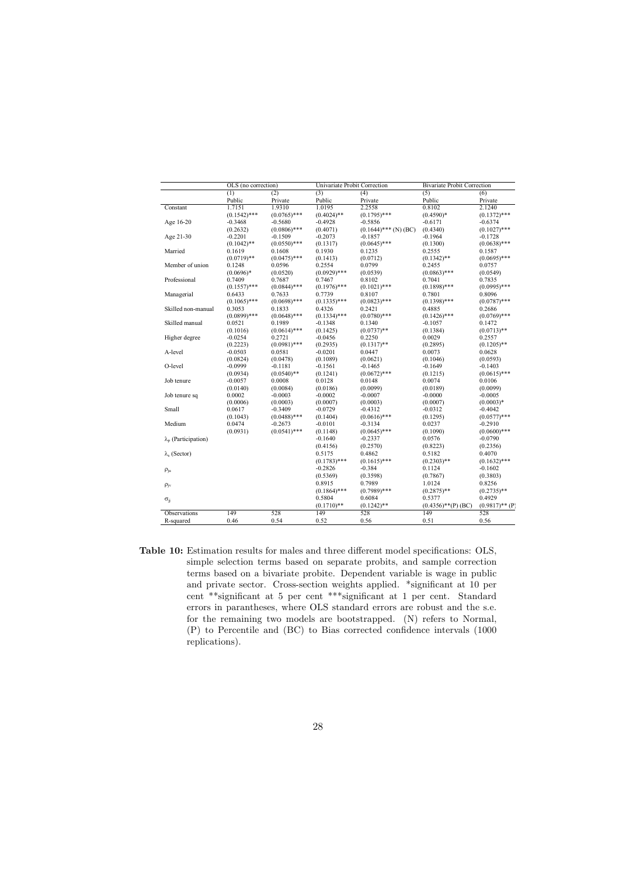| Univariate Probit Correction<br><b>Bivariate Probit Correction</b><br>OLS (no correction)<br>(2)<br>(3)<br>(4)<br>(5)<br>(1) | (6)               |
|------------------------------------------------------------------------------------------------------------------------------|-------------------|
|                                                                                                                              |                   |
| Public<br>Public<br>Private<br>Public<br>Private                                                                             | Private           |
| 2.2558<br>1.7151<br>1.9310<br>1.0195<br>0.8102<br>Constant                                                                   | 2.1240            |
| $(0.1542)$ ***<br>$(0.0765)$ ***<br>$(0.4024)$ **<br>$(0.1795)$ ***<br>$(0.4590)*$                                           | $(0.1372)$ ***    |
| Age 16-20<br>$-0.3468$<br>$-0.5680$<br>$-0.4928$<br>$-0.5856$<br>$-0.6171$                                                   | $-0.6374$         |
| (0.2632)<br>$(0.0806)$ ***<br>(0.4071)<br>$(0.1644)$ *** (N) (BC)<br>(0.4340)                                                | $(0.1027)$ ***    |
| Age 21-30<br>$-0.2201$<br>$-0.2073$<br>$-0.1964$<br>$-0.1509$<br>$-0.1857$                                                   | $-0.1728$         |
| $(0.0645)$ ***<br>$(0.1042)$ **<br>$(0.0550)$ ***<br>(0.1317)<br>(0.1300)                                                    | $(0.0638)$ ***    |
| Married<br>0.1930<br>0.2555<br>0.1619<br>0.1608<br>0.1235                                                                    | 0.1587            |
| $(0.0719)$ **<br>$(0.0475)$ ***<br>(0.0712)<br>(0.1413)<br>$(0.1342)$ **                                                     | $(0.0695)$ ***    |
| Member of union<br>0.2554<br>0.0799<br>0.2455<br>0.1248<br>0.0596                                                            | 0.0757            |
| $(0.0696)*$<br>(0.0520)<br>$(0.0929)$ ***<br>(0.0539)<br>$(0.0863)$ ***                                                      | (0.0549)          |
| Professional<br>0.7409<br>0.8102<br>0.7687<br>0.7467<br>0.7041                                                               | 0.7835            |
| $(0.0844)$ ***<br>$(0.1557)$ ***<br>$(0.1976)$ ***<br>$(0.1021)$ ***<br>$(0.1898)$ ***                                       | $(0.0995)$ ***    |
| Managerial<br>0.7801<br>0.6433<br>0.7633<br>0.7739<br>0.8107                                                                 | 0.8096            |
| $(0.1065)$ ***<br>$(0.0698)$ ***<br>$(0.1335)$ ***<br>$(0.0823)$ ***<br>$(0.1398)$ ***                                       | $(0.0787)$ ***    |
| Skilled non-manual<br>0.3053<br>0.1833<br>0.4326<br>0.2421<br>0.4885                                                         | 0.2686            |
| $(0.0899)$ ***<br>$(0.0648)$ ***<br>$(0.1334)$ ***<br>$(0.0780)$ ***<br>$(0.1426)$ ***                                       | $(0.0769)$ ***    |
| Skilled manual<br>0.0521<br>0.1989<br>$-0.1348$<br>0.1340<br>$-0.1057$                                                       | 0.1472            |
| (0.1016)<br>$(0.0614)$ ***<br>(0.1425)<br>$(0.0737)$ **<br>(0.1384)                                                          | $(0.0713)**$      |
| Higher degree<br>0.2250<br>0.0029<br>$-0.0254$<br>0.2721<br>$-0.0456$                                                        | 0.2557            |
| (0.2223)<br>$(0.0981)$ ***<br>(0.2935)<br>$(0.1317)$ **<br>(0.2895)                                                          | $(0.1205)$ **     |
| A-level<br>$-0.0503$<br>0.0073<br>0.0581<br>$-0.0201$<br>0.0447                                                              | 0.0628            |
| (0.0824)<br>(0.0478)<br>(0.1089)<br>(0.0621)<br>(0.1046)                                                                     | (0.0593)          |
| O-level<br>$-0.0999$<br>$-0.1181$<br>-0.1561<br>$-0.1465$<br>-0.1649                                                         | $-0.1403$         |
| (0.0934)<br>$(0.0540)**$<br>(0.1241)<br>$(0.0672)$ ***<br>(0.1215)                                                           | $(0.0615)$ ***    |
| Job tenure<br>$-0.0057$<br>0.0128<br>0.0074<br>0.0008<br>0.0148                                                              | 0.0106            |
| (0.0140)<br>(0.0084)<br>(0.0186)<br>(0.0099)<br>(0.0189)                                                                     | (0.0099)          |
| 0.0002<br>$-0.0003$<br>$-0.0002$<br>$-0.0007$<br>$-0.0000$<br>Job tenure sq                                                  | $-0.0005$         |
| (0.0006)<br>(0.0003)<br>(0.0003)<br>(0.0007)<br>(0.0007)                                                                     | $(0.0003)*$       |
| Small<br>0.0617<br>$-0.3409$<br>$-0.0729$<br>$-0.4312$<br>$-0.0312$                                                          | $-0.4042$         |
| $(0.0488)$ ***<br>$(0.0616)$ ***<br>(0.1043)<br>(0.1404)<br>(0.1295)                                                         | $(0.0577)$ ***    |
| Medium<br>0.0474<br>$-0.2673$<br>$-0.0101$<br>0.0237<br>$-0.3134$                                                            | $-0.2910$         |
| $(0.0541)$ ***<br>(0.0931)<br>(0.1148)<br>$(0.0645)$ ***<br>(0.1090)                                                         | $(0.0600)$ ***    |
| $-0.2337$<br>0.0576<br>$\lambda_p$ (Participation)<br>$-0.1640$                                                              | -0.0790           |
| (0.2570)<br>(0.4156)<br>(0.8223)                                                                                             | (0.2356)          |
| 0.5175<br>0.4862<br>0.5182<br>$\lambda_{\rm s}$ (Sector)                                                                     | 0.4070            |
| $(0.1615)$ ***<br>$(0.1783)$ ***<br>$(0.2303)$ **                                                                            | $(0.1632)$ ***    |
| $-0.2826$<br>$-0.384$<br>0.1124<br>$\rho_{ju}$                                                                               | $-0.1602$         |
| (0.5369)<br>(0.3598)<br>(0.7867)                                                                                             | (0.3803)          |
| 0.7989<br>0.8915<br>1.0124<br>$\rho_{j\nu}$                                                                                  | 0.8256            |
| $(0.7989)$ ***<br>$(0.1864)$ ***<br>$(0.2875)$ **                                                                            | $(0.2735)$ **     |
| 0.5804<br>0.6084<br>0.5377<br>$\sigma_{jj}$                                                                                  | 0.4929            |
| $(0.1710)**$<br>$(0.1242)$ **<br>$(0.4356)$ **(P)(BC)                                                                        | $(0.9817)$ ** (P) |
| 149<br>528<br>149<br>528<br>149<br>Observations                                                                              | 528               |
| 0.46<br>0.54<br>0.52<br>0.56<br>0.51<br>R-squared                                                                            | 0.56              |

Table 10: Estimation results for males and three different model specifications: OLS, simple selection terms based on separate probits, and sample correction terms based on a bivariate probite. Dependent variable is wage in public and private sector. Cross-section weights applied. \*significant at 10 per cent \*\*significant at 5 per cent \*\*\*significant at 1 per cent. Standard errors in parantheses, where OLS standard errors are robust and the s.e. for the remaining two models are bootstrapped. (N) refers to Normal, (P) to Percentile and (BC) to Bias corrected confidence intervals (1000 replications).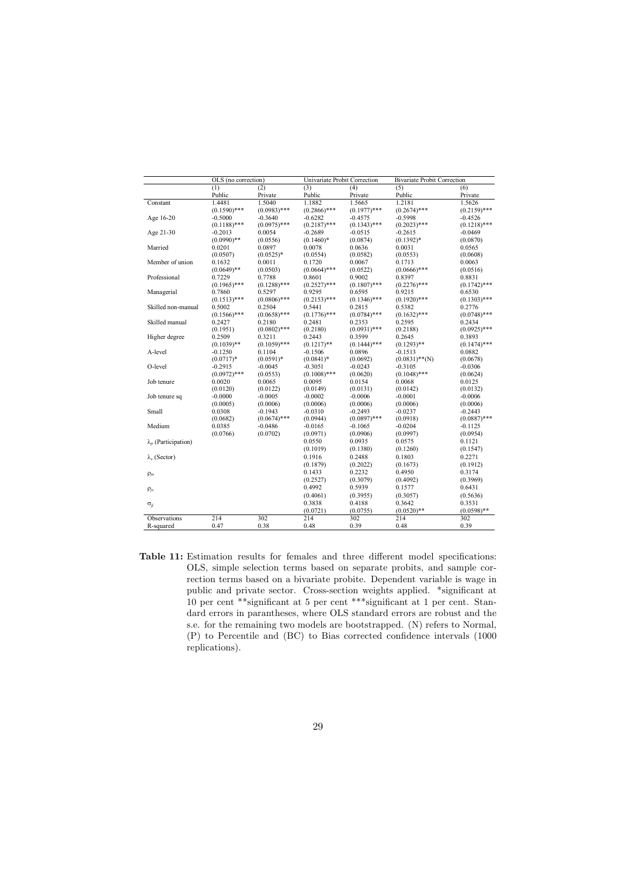|                             | OLS (no correction) |                | Univariate Probit Correction |                | <b>Bivariate Probit Correction</b> |                |
|-----------------------------|---------------------|----------------|------------------------------|----------------|------------------------------------|----------------|
|                             | (1)                 | (2)            | (3)                          | (4)            | (5)                                | (6)            |
|                             | Public              | Private        | Public                       | Private        | Public                             | Private        |
| Constant                    | 1.4481              | 1.5040         | 1.1882                       | 1.5665         | 1.2181                             | 1.5626         |
|                             | $(0.1590)$ ***      | $(0.0983)$ *** | $(0.2866)$ ***               | $(0.1977)$ *** | $(0.2674)$ ***                     | $(0.2159)$ *** |
| Age 16-20                   | $-0.5000$           | $-0.3640$      | $-0.6282$                    | $-0.4575$      | $-0.5998$                          | $-0.4526$      |
|                             | $(0.1188)$ ***      | $(0.0975)$ *** | $(0.2187)$ ***               | $(0.1343)$ *** | $(0.2023)$ ***                     | $(0.1218)$ *** |
| Age 21-30                   | $-0.2013$           | 0.0054         | $-0.2689$                    | $-0.0515$      | $-0.2615$                          | $-0.0469$      |
|                             | $(0.0990)$ **       | (0.0556)       | $(0.1460)*$                  | (0.0874)       | $(0.1392)*$                        | (0.0870)       |
| Married                     | 0.0201              | 0.0897         | 0.0078                       | 0.0636         | 0.0031                             | 0.0565         |
|                             | (0.0507)            | $(0.0525)*$    | (0.0554)                     | (0.0582)       | (0.0553)                           | (0.0608)       |
| Member of union             | 0.1632              | 0.0011         | 0.1720                       | 0.0067         | 0.1713                             | 0.0063         |
|                             | $(0.0649)$ **       | (0.0503)       | $(0.0664)$ ***               | (0.0522)       | $(0.0666)$ ***                     | (0.0516)       |
| Professional                | 0.7229              | 0.7788         | 0.8601                       | 0.9002         | 0.8397                             | 0.8831         |
|                             | $(0.1965)$ ***      | $(0.1288)$ *** | $(0.2527)$ ***               | $(0.1807)$ *** | $(0.2276)$ ***                     | $(0.1742)$ *** |
| Managerial                  | 0.7860              | 0.5297         | 0.9295                       | 0.6595         | 0.9215                             | 0.6530         |
|                             | $(0.1513)$ ***      | $(0.0806)$ *** | $(0.2153)$ ***               | $(0.1346)$ *** | $(0.1920)$ ***                     | $(0.1303)$ *** |
| Skilled non-manual          | 0.5002              | 0.2504         | 0.5441                       | 0.2815         | 0.5382                             | 0.2776         |
|                             | $(0.1566)$ ***      | $(0.0658)$ *** | $(0.1776)$ ***               | $(0.0784)$ *** | $(0.1632)$ ***                     | $(0.0748)$ *** |
| Skilled manual              | 0.2427              | 0.2180         | 0.2481                       | 0.2353         | 0.2595                             | 0.2434         |
|                             | (0.1951)            | $(0.0802)$ *** | (0.2180)                     | $(0.0931)$ *** | (0.2188)                           | $(0.0925)$ *** |
| Higher degree               | 0.2509              | 0.3211         | 0.2443                       | 0.3599         | 0.2645                             | 0.3893         |
|                             | $(0.1039)$ **       | $(0.1059)$ *** | $(0.1217)$ **                | $(0.1444)$ *** | $(0.1293)$ **                      | $(0.1474)$ *** |
| A-level                     | $-0.1250$           | 0.1104         | $-0.1506$                    | 0.0896         | $-0.1513$                          | 0.0882         |
|                             | $(0.0717)*$         | $(0.0591)*$    | $(0.0841)^*$                 | (0.0692)       | $(0.0831)$ **(N)                   | (0.0678)       |
| O-level                     | $-0.2915$           | $-0.0045$      | $-0.3051$                    | $-0.0243$      | $-0.3105$                          | $-0.0306$      |
|                             | $(0.0972)$ ***      | (0.0553)       | $(0.1008)$ ***               | (0.0620)       | $(0.1048)$ ***                     | (0.0624)       |
| Job tenure                  | 0.0020              | 0.0065         | 0.0095                       | 0.0154         | 0.0068                             | 0.0125         |
|                             | (0.0120)            | (0.0122)       | (0.0149)                     | (0.0131)       | (0.0142)                           | (0.0132)       |
| Job tenure sq               | $-0.0000$           | $-0.0005$      | $-0.0002$                    | $-0.0006$      | $-0.0001$                          | $-0.0006$      |
|                             | (0.0005)            | (0.0006)       | (0.0006)                     | (0.0006)       | (0.0006)                           | (0.0006)       |
| Small                       | 0.0308              | $-0.1943$      | $-0.0310$                    | $-0.2493$      | $-0.0237$                          | $-0.2443$      |
|                             | (0.0682)            | $(0.0674)$ *** | (0.0944)                     | $(0.0897)$ *** | (0.0918)                           | $(0.0887)$ *** |
| Medium                      | 0.0385              | $-0.0486$      | $-0.0165$                    | $-0.1065$      | $-0.0204$                          | $-0.1125$      |
|                             | (0.0766)            | (0.0702)       | (0.0971)                     | (0.0906)       | (0.0997)                           | (0.0954)       |
| $\lambda_p$ (Participation) |                     |                | 0.0550                       | 0.0935         | 0.0575                             | 0.1121         |
|                             |                     |                | (0.1019)                     | (0.1380)       | (0.1260)                           | (0.1547)       |
| $\lambda_{s}$ (Sector)      |                     |                | 0.1916                       | 0.2488         | 0.1803                             | 0.2271         |
|                             |                     |                | (0.1879)                     | (0.2022)       | (0.1673)                           | (0.1912)       |
| $\rho_{ju}$                 |                     |                | 0.1433                       | 0.2232         | 0.4950                             | 0.3174         |
|                             |                     |                | (0.2527)                     | (0.3079)       | (0.4092)                           | (0.3969)       |
| $\rho_{iv}$                 |                     |                | 0.4992                       | 0.5939         | 0.1577                             | 0.6431         |
|                             |                     |                | (0.4061)                     | (0.3955)       | (0.3057)                           | (0.5636)       |
| $\sigma_{jj}$               |                     |                | 0.3838                       | 0.4188         | 0.3642                             | 0.3531         |
|                             |                     |                | (0.0721)                     | (0.0755)       | $(0.0520)$ **                      | $(0.0598)$ **  |
| Observations                | 214                 | 302            | 214                          | 302            | 214                                | 302            |
| R-squared                   | 0.47                | 0.38           | 0.48                         | 0.39           | 0.48                               | 0.39           |
|                             |                     |                |                              |                |                                    |                |

Table 11: Estimation results for females and three different model specifications: OLS, simple selection terms based on separate probits, and sample correction terms based on a bivariate probite. Dependent variable is wage in public and private sector. Cross-section weights applied. \*significant at 10 per cent \*\*significant at 5 per cent \*\*\*significant at 1 per cent. Standard errors in parantheses, where OLS standard errors are robust and the s.e. for the remaining two models are bootstrapped. (N) refers to Normal, (P) to Percentile and (BC) to Bias corrected confidence intervals (1000 replications).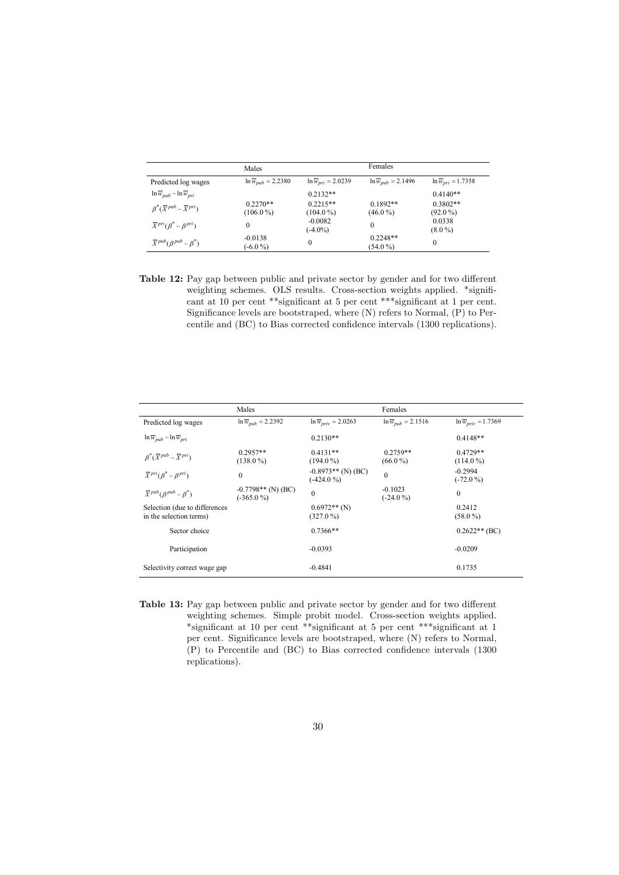|                                                    | Males                             |                                   | Females                           |                                   |
|----------------------------------------------------|-----------------------------------|-----------------------------------|-----------------------------------|-----------------------------------|
| Predicted log wages                                | $\ln \overline{w}_{pub} = 2.2380$ | $\ln \overline{w}_{pri} = 2.0239$ | $\ln \overline{w}_{pub} = 2.1496$ | $\ln \overline{w}_{pri} = 1.7358$ |
| $\ln \overline{w}_{pub} - \ln \overline{w}_{pri}$  |                                   | $0.2132**$                        |                                   | $0.4140**$                        |
| $\beta^*(\overline{X}^{pub} - \overline{X}^{pri})$ | $0.2270**$<br>$(106.0\%)$         | $0.2215**$<br>$(104.0\%)$         | $0.1892**$<br>$(46.0\%)$          | $0.3802**$<br>$(92.0\%)$          |
| $\overline{X}^{pri}(\overline{B}^* - B^{pri})$     | 0                                 | $-0.0082$<br>$(-4.0\%)$           | $\Omega$                          | 0.0338<br>$(8.0\%)$               |
| $\overline{X}^{pub}(\beta^{pub} - \beta^*)$        | $-0.0138$<br>$(-6.0\%)$           | 0                                 | $0.2248**$<br>$(54.0\%)$          | $\mathbf{0}$                      |

Table 12: Pay gap between public and private sector by gender and for two different weighting schemes. OLS results. Cross-section weights applied. \*significant at 10 per cent \*\*significant at 5 per cent \*\*\*significant at 1 per cent. Significance levels are bootstraped, where (N) refers to Normal, (P) to Percentile and (BC) to Bias corrected confidence intervals (1300 replications).

|                                                          | Males                                |                                      | Females                           |                                    |
|----------------------------------------------------------|--------------------------------------|--------------------------------------|-----------------------------------|------------------------------------|
| Predicted log wages                                      | $\ln \overline{w}_{mth} = 2.2392$    | $\ln \overline{w}_{priv} = 2.0263$   | $\ln \overline{w}_{mth} = 2.1516$ | $\ln \overline{w}_{priv} = 1.7369$ |
| $\ln \overline{w}_{pub} - \ln \overline{w}_{pri}$        |                                      | $0.2130**$                           |                                   | $0.4148**$                         |
| $\beta^*(\overline{X}^{pub} - \overline{X}^{pri})$       | $0.2957**$<br>$(138.0\%)$            | $0.4131**$<br>$(194.0\%)$            | $0.2759**$<br>$(66.0\,\% )$       | $0.4729**$<br>$(114.0\%)$          |
| $\overline{X}^{pri}(\beta^* - \beta^{pri})$              | $\mathbf{0}$                         | $-0.8973**$ (N) (BC)<br>$(-424.0\%)$ | $\theta$                          | $-0.2994$<br>$(-72.0\%)$           |
| $\overline{X}^{pub}(\beta^{pub} - \beta^*)$              | $-0.7798**$ (N) (BC)<br>$(-365.0\%)$ | $\theta$                             | $-0.1023$<br>$(-24.0\%)$          | $\mathbf{0}$                       |
| Selection (due to differences<br>in the selection terms) |                                      | $0.6972**$ (N)<br>$(327.0\%)$        |                                   | 0.2412<br>$(58.0\%)$               |
| Sector choice                                            |                                      | $0.7366**$                           |                                   | $0.2622**$ (BC)                    |
| Participation                                            |                                      | $-0.0393$                            |                                   | $-0.0209$                          |
| Selectivity correct wage gap                             |                                      | $-0.4841$                            |                                   | 0.1735                             |

Table 13: Pay gap between public and private sector by gender and for two different weighting schemes. Simple probit model. Cross-section weights applied. \*significant at 10 per cent \*\*significant at 5 per cent \*\*\*significant at 1 per cent. Significance levels are bootstraped, where (N) refers to Normal, (P) to Percentile and (BC) to Bias corrected confidence intervals (1300 replications).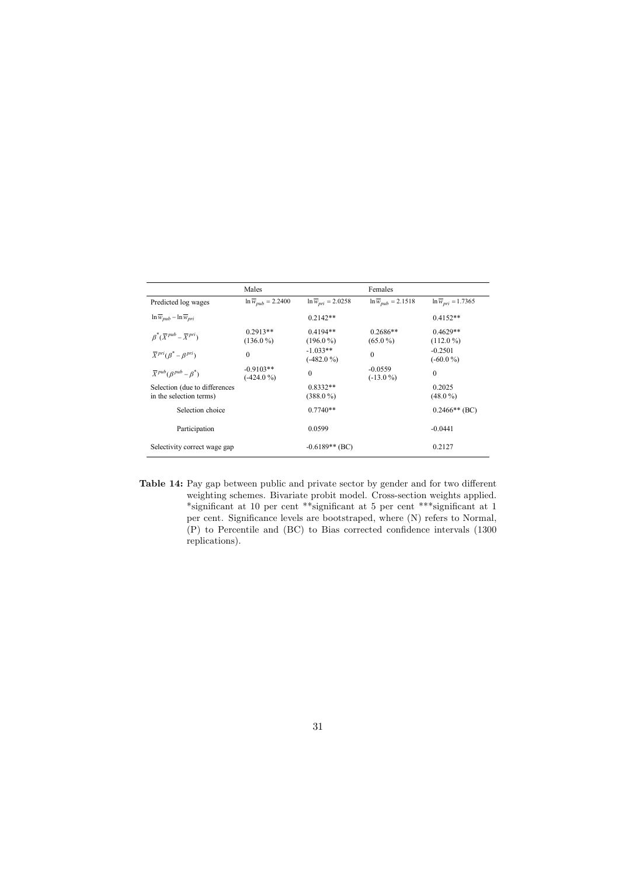|                                                    | Males                             |                                   | Females                           |                                   |
|----------------------------------------------------|-----------------------------------|-----------------------------------|-----------------------------------|-----------------------------------|
| Predicted log wages                                | $\ln \overline{w}_{pub} = 2.2400$ | $\ln \overline{w}_{pri} = 2.0258$ | $\ln \overline{w}_{pub} = 2.1518$ | $\ln \overline{w}_{pri} = 1.7365$ |
| $\ln \overline{w}_{pub} - \ln \overline{w}_{pri}$  |                                   | $0.2142**$                        |                                   | $0.4152**$                        |
| $\beta^*(\overline{X}^{pub} - \overline{X}^{pri})$ | $0.2913**$<br>$(136.0\%)$         | $0.4194**$<br>$(196.0\%)$         | $0.2686**$<br>$(65.0\%)$          | $0.4629**$<br>$(112.0\%)$         |
| $\overline{X}^{pri}(\beta^* - \beta^{pri})$        | $\mathbf{0}$                      | $-1.033**$<br>$(-482.0\%)$        | $\mathbf{0}$                      | $-0.2501$<br>$(-60.0\%)$          |
| $\overline{X}^{pub}(\beta^{pub} - \beta^*)$        | $-0.9103**$<br>$(-424.0\% )$      | $\theta$                          | $-0.0559$<br>$(-13.0\%)$          | $\Omega$                          |
| Selection (due to differences                      |                                   | $0.8332**$                        |                                   | 0.2025                            |
| in the selection terms)                            |                                   | $(388.0\%)$                       |                                   | $(48.0\%)$                        |
| Selection choice                                   |                                   | $0.7740**$                        |                                   | $0.2466**$ (BC)                   |
| Participation                                      |                                   | 0.0599                            |                                   | $-0.0441$                         |
| Selectivity correct wage gap                       |                                   | $-0.6189**$ (BC)                  |                                   | 0.2127                            |

Table 14: Pay gap between public and private sector by gender and for two different weighting schemes. Bivariate probit model. Cross-section weights applied. \*significant at 10 per cent \*\*significant at 5 per cent \*\*\*significant at 1 per cent. Significance levels are bootstraped, where (N) refers to Normal, (P) to Percentile and (BC) to Bias corrected confidence intervals (1300 replications).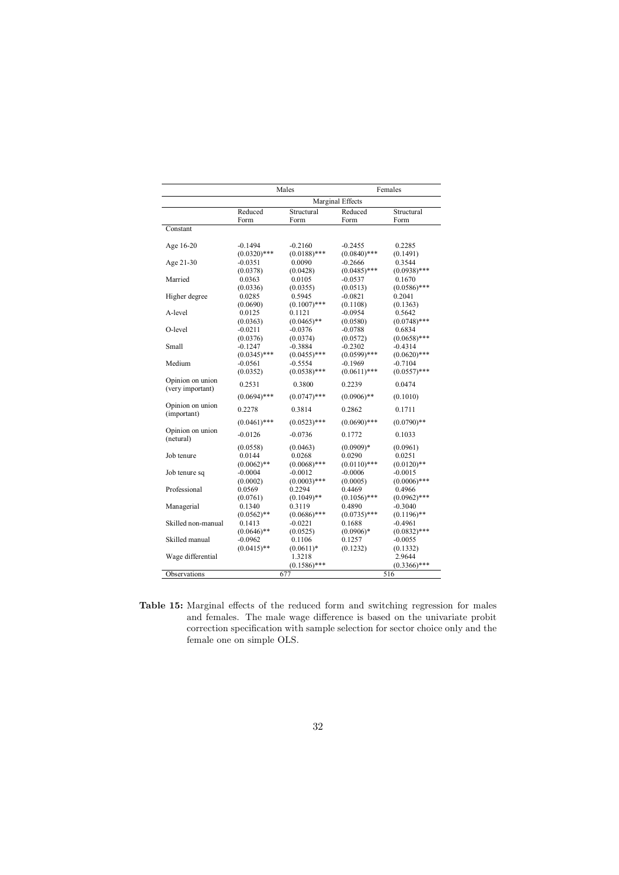|                               | Males          |                | Females          |                |  |
|-------------------------------|----------------|----------------|------------------|----------------|--|
|                               |                |                | Marginal Effects |                |  |
|                               | Reduced        | Structural     | Reduced          | Structural     |  |
|                               | Form           | Form           | Form             | Form           |  |
| Constant                      |                |                |                  |                |  |
| Age 16-20                     | $-0.1494$      | $-0.2160$      | $-0.2455$        | 0.2285         |  |
|                               | $(0.0320)$ *** | $(0.0188)$ *** | $(0.0840)$ ***   | (0.1491)       |  |
| Age 21-30                     | $-0.0351$      | 0.0090         | $-0.2666$        | 0.3544         |  |
|                               | (0.0378)       | (0.0428)       | $(0.0485)$ ***   | $(0.0938)$ *** |  |
| Married                       | 0.0363         | 0.0105         | $-0.0537$        | 0.1670         |  |
|                               | (0.0336)       | (0.0355)       | (0.0513)         | $(0.0586)$ *** |  |
| Higher degree                 | 0.0285         | 0.5945         | $-0.0821$        | 0.2041         |  |
|                               | (0.0690)       | $(0.1007)$ *** | (0.1108)         | (0.1363)       |  |
| A-level                       | 0.0125         | 0.1121         | $-0.0954$        | 0.5642         |  |
|                               | (0.0363)       | $(0.0465)$ **  | (0.0580)         | $(0.0748)$ *** |  |
| O-level                       | $-0.0211$      | $-0.0376$      | $-0.0788$        | 0.6834         |  |
|                               | (0.0376)       | (0.0374)       | (0.0572)         | $(0.0658)$ *** |  |
| Small                         | $-0.1247$      | -0.3884        | $-0.2302$        | $-0.4314$      |  |
|                               | $(0.0345)$ *** | $(0.0455)$ *** | $(0.0599)$ ***   | $(0.0620)$ *** |  |
| Medium                        | $-0.0561$      | $-0.5554$      | -0.1969          | $-0.7104$      |  |
|                               | (0.0352)       | $(0.0538)$ *** | $(0.0611)$ ***   | $(0.0557)$ *** |  |
| Opinion on union              | 0.2531         | 0.3800         | 0.2239           | 0.0474         |  |
| (very important)              | $(0.0694)$ *** | $(0.0747)$ *** | $(0.0906)$ **    | (0.1010)       |  |
| Opinion on union              |                |                |                  |                |  |
| (important)                   | 0.2278         | 0.3814         | 0.2862           | 0.1711         |  |
|                               | $(0.0461)$ *** | $(0.0523)$ *** | $(0.0690)$ ***   | $(0.0790)$ **  |  |
| Opinion on union<br>(netural) | $-0.0126$      | $-0.0736$      | 0.1772           | 0.1033         |  |
|                               | (0.0558)       | (0.0463)       | $(0.0909)*$      | (0.0961)       |  |
| Job tenure                    | 0.0144         | 0.0268         | 0.0290           | 0.0251         |  |
|                               | $(0.0062)$ **  | $(0.0068)$ *** | $(0.0110)$ ***   | $(0.0120)$ **  |  |
| Job tenure sq                 | $-0.0004$      | $-0.0012$      | $-0.0006$        | $-0.0015$      |  |
|                               | (0.0002)       | $(0.0003)$ *** | (0.0005)         | $(0.0006)$ *** |  |
| Professional                  | 0.0569         | 0.2294         | 0.4469           | 0.4966         |  |
|                               | (0.0761)       | $(0.1049)$ **  | $(0.1056)$ ***   | $(0.0962)$ *** |  |
| Managerial                    | 0.1340         | 0.3119         | 0.4890           | $-0.3040$      |  |
|                               | $(0.0562)$ **  | $(0.0686)$ *** | $(0.0735)$ ***   | $(0.1196)$ **  |  |
| Skilled non-manual            | 0.1413         | $-0.0221$      | 0.1688           | $-0.4961$      |  |
|                               | $(0.0646)$ **  | (0.0525)       | $(0.0906)*$      | $(0.0832)$ *** |  |
| Skilled manual                | $-0.0962$      | 0.1106         | 0.1257           | $-0.0055$      |  |
|                               | $(0.0415)$ **  | $(0.0611)*$    | (0.1232)         | (0.1332)       |  |
| Wage differential             |                | 1.3218         |                  | 2.9644         |  |
|                               |                | $(0.1586)$ *** |                  | $(0.3366)$ *** |  |
| Observations                  |                | 677            |                  | 516            |  |

Table 15: Marginal effects of the reduced form and switching regression for males and females. The male wage difference is based on the univariate probit correction specification with sample selection for sector choice only and the female one on simple OLS.